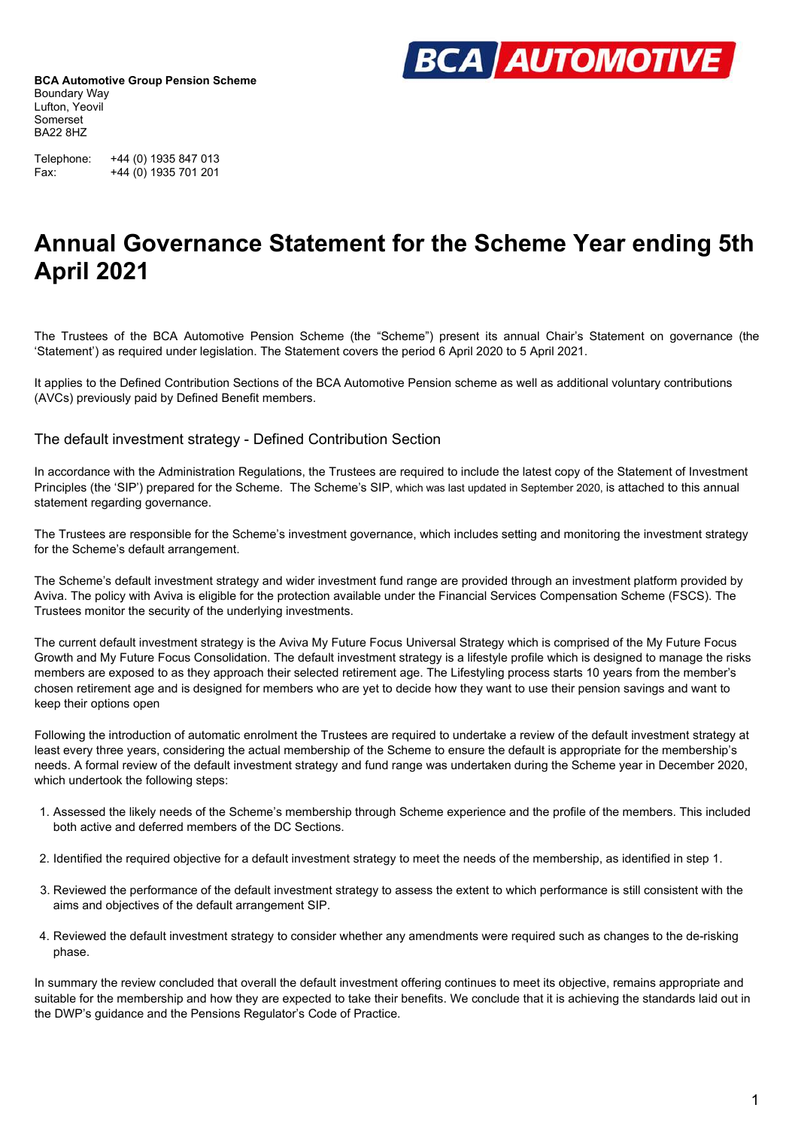

Telephone: +44 (0) 1935 847 013 Fax: +44 (0) 1935 701 201

### **Annual Governance Statement for the Scheme Year ending 5th April 2021**

The Trustees of the BCA Automotive Pension Scheme (the "Scheme") present its annual Chair's Statement on governance (the 'Statement') as required under legislation. The Statement covers the period 6 April 2020 to 5 April 2021.

It applies to the Defined Contribution Sections of the BCA Automotive Pension scheme as well as additional voluntary contributions (AVCs) previously paid by Defined Benefit members.

The default investment strategy - Defined Contribution Section

In accordance with the Administration Regulations, the Trustees are required to include the latest copy of the Statement of Investment Principles (the 'SIP') prepared for the Scheme. The Scheme's SIP, which was last updated in September 2020, is attached to this annual statement regarding governance.

The Trustees are responsible for the Scheme's investment governance, which includes setting and monitoring the investment strategy for the Scheme's default arrangement.

The Scheme's default investment strategy and wider investment fund range are provided through an investment platform provided by Aviva. The policy with Aviva is eligible for the protection available under the Financial Services Compensation Scheme (FSCS). The Trustees monitor the security of the underlying investments.

The current default investment strategy is the Aviva My Future Focus Universal Strategy which is comprised of the My Future Focus Growth and My Future Focus Consolidation. The default investment strategy is a lifestyle profile which is designed to manage the risks members are exposed to as they approach their selected retirement age. The Lifestyling process starts 10 years from the member's chosen retirement age and is designed for members who are yet to decide how they want to use their pension savings and want to keep their options open

Following the introduction of automatic enrolment the Trustees are required to undertake a review of the default investment strategy at least every three years, considering the actual membership of the Scheme to ensure the default is appropriate for the membership's needs. A formal review of the default investment strategy and fund range was undertaken during the Scheme year in December 2020, which undertook the following steps:

- 1. Assessed the likely needs of the Scheme's membership through Scheme experience and the profile of the members. This included both active and deferred members of the DC Sections.
- 2. Identified the required objective for a default investment strategy to meet the needs of the membership, as identified in step 1.
- 3. Reviewed the performance of the default investment strategy to assess the extent to which performance is still consistent with the aims and objectives of the default arrangement SIP.
- 4. Reviewed the default investment strategy to consider whether any amendments were required such as changes to the de-risking phase.

In summary the review concluded that overall the default investment offering continues to meet its objective, remains appropriate and suitable for the membership and how they are expected to take their benefits. We conclude that it is achieving the standards laid out in the DWP's guidance and the Pensions Regulator's Code of Practice.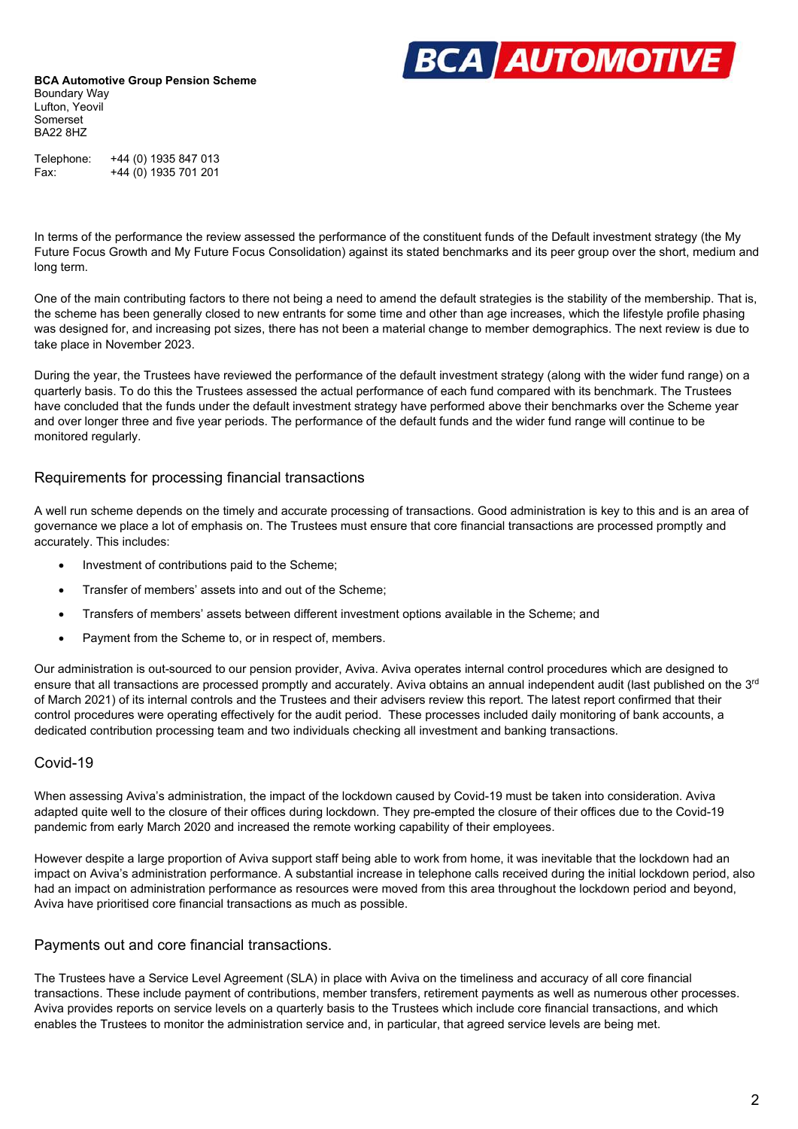

Telephone: +44 (0) 1935 847 013 Fax: +44 (0) 1935 701 201

In terms of the performance the review assessed the performance of the constituent funds of the Default investment strategy (the My Future Focus Growth and My Future Focus Consolidation) against its stated benchmarks and its peer group over the short, medium and long term.

One of the main contributing factors to there not being a need to amend the default strategies is the stability of the membership. That is, the scheme has been generally closed to new entrants for some time and other than age increases, which the lifestyle profile phasing was designed for, and increasing pot sizes, there has not been a material change to member demographics. The next review is due to take place in November 2023.

During the year, the Trustees have reviewed the performance of the default investment strategy (along with the wider fund range) on a quarterly basis. To do this the Trustees assessed the actual performance of each fund compared with its benchmark. The Trustees have concluded that the funds under the default investment strategy have performed above their benchmarks over the Scheme year and over longer three and five year periods. The performance of the default funds and the wider fund range will continue to be monitored regularly.

### Requirements for processing financial transactions

A well run scheme depends on the timely and accurate processing of transactions. Good administration is key to this and is an area of governance we place a lot of emphasis on. The Trustees must ensure that core financial transactions are processed promptly and accurately. This includes:

- Investment of contributions paid to the Scheme;
- Transfer of members' assets into and out of the Scheme;
- Transfers of members' assets between different investment options available in the Scheme; and
- Payment from the Scheme to, or in respect of, members.

Our administration is out-sourced to our pension provider, Aviva. Aviva operates internal control procedures which are designed to ensure that all transactions are processed promptly and accurately. Aviva obtains an annual independent audit (last published on the  $3^{rd}$ of March 2021) of its internal controls and the Trustees and their advisers review this report. The latest report confirmed that their control procedures were operating effectively for the audit period. These processes included daily monitoring of bank accounts, a dedicated contribution processing team and two individuals checking all investment and banking transactions.

### Covid-19

When assessing Aviva's administration, the impact of the lockdown caused by Covid-19 must be taken into consideration. Aviva adapted quite well to the closure of their offices during lockdown. They pre-empted the closure of their offices due to the Covid-19 pandemic from early March 2020 and increased the remote working capability of their employees.

However despite a large proportion of Aviva support staff being able to work from home, it was inevitable that the lockdown had an impact on Aviva's administration performance. A substantial increase in telephone calls received during the initial lockdown period, also had an impact on administration performance as resources were moved from this area throughout the lockdown period and beyond, Aviva have prioritised core financial transactions as much as possible.

### Payments out and core financial transactions.

The Trustees have a Service Level Agreement (SLA) in place with Aviva on the timeliness and accuracy of all core financial transactions. These include payment of contributions, member transfers, retirement payments as well as numerous other processes. Aviva provides reports on service levels on a quarterly basis to the Trustees which include core financial transactions, and which enables the Trustees to monitor the administration service and, in particular, that agreed service levels are being met.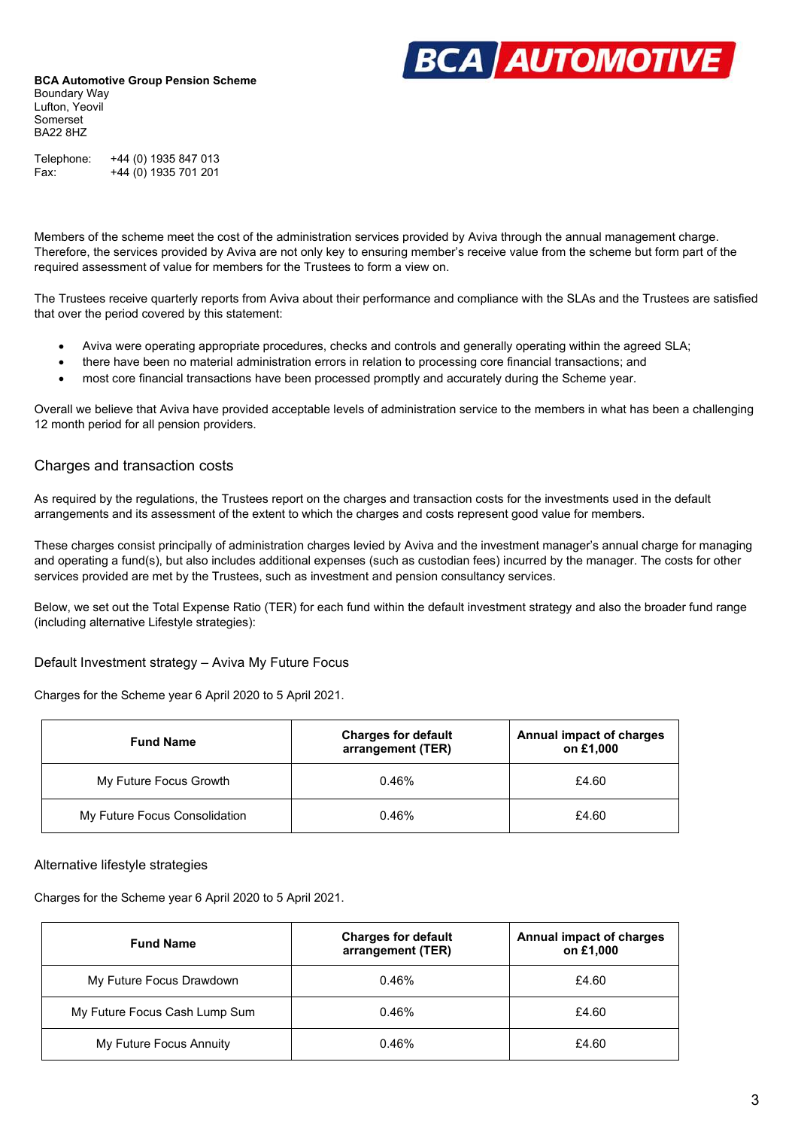

Telephone: +44 (0) 1935 847 013 Fax: +44 (0) 1935 701 201

Members of the scheme meet the cost of the administration services provided by Aviva through the annual management charge. Therefore, the services provided by Aviva are not only key to ensuring member's receive value from the scheme but form part of the required assessment of value for members for the Trustees to form a view on.

The Trustees receive quarterly reports from Aviva about their performance and compliance with the SLAs and the Trustees are satisfied that over the period covered by this statement:

- Aviva were operating appropriate procedures, checks and controls and generally operating within the agreed SLA;
- there have been no material administration errors in relation to processing core financial transactions; and
- most core financial transactions have been processed promptly and accurately during the Scheme year.

Overall we believe that Aviva have provided acceptable levels of administration service to the members in what has been a challenging 12 month period for all pension providers.

### Charges and transaction costs

As required by the regulations, the Trustees report on the charges and transaction costs for the investments used in the default arrangements and its assessment of the extent to which the charges and costs represent good value for members.

These charges consist principally of administration charges levied by Aviva and the investment manager's annual charge for managing and operating a fund(s), but also includes additional expenses (such as custodian fees) incurred by the manager. The costs for other services provided are met by the Trustees, such as investment and pension consultancy services.

Below, we set out the Total Expense Ratio (TER) for each fund within the default investment strategy and also the broader fund range (including alternative Lifestyle strategies):

Default Investment strategy – Aviva My Future Focus

Charges for the Scheme year 6 April 2020 to 5 April 2021.

| <b>Fund Name</b>              | <b>Charges for default</b><br>arrangement (TER) | Annual impact of charges<br>on £1,000 |
|-------------------------------|-------------------------------------------------|---------------------------------------|
| My Future Focus Growth        | 0.46%                                           | £4.60                                 |
| My Future Focus Consolidation | 0.46%                                           | £4.60                                 |

### Alternative lifestyle strategies

Charges for the Scheme year 6 April 2020 to 5 April 2021.

| <b>Fund Name</b>              | <b>Charges for default</b><br>arrangement (TER) | Annual impact of charges<br>on £1,000 |
|-------------------------------|-------------------------------------------------|---------------------------------------|
| My Future Focus Drawdown      | 0.46%                                           | £4.60                                 |
| My Future Focus Cash Lump Sum | 0.46%                                           | £4.60                                 |
| My Future Focus Annuity       | 0.46%                                           | £4.60                                 |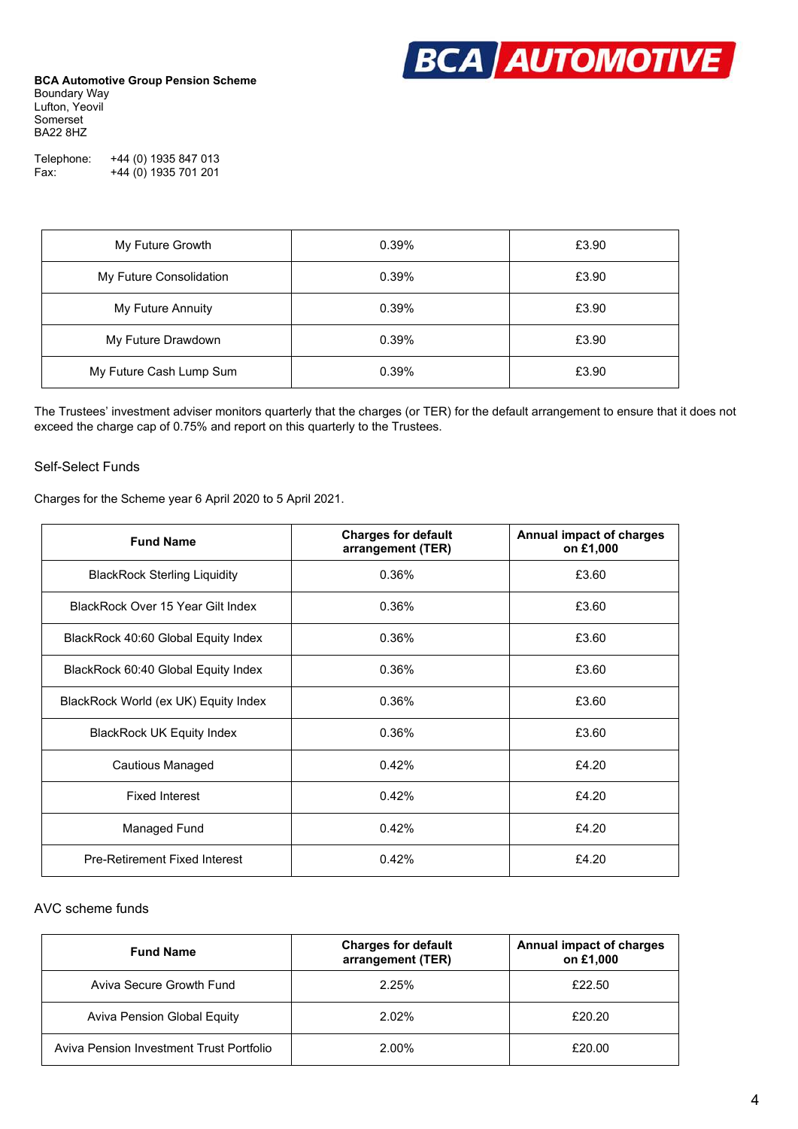

Telephone: +44 (0) 1935 847 013 Fax: +44 (0) 1935 701 201

| My Future Growth        | 0.39% | £3.90 |
|-------------------------|-------|-------|
| My Future Consolidation | 0.39% | £3.90 |
| My Future Annuity       | 0.39% | £3.90 |
| My Future Drawdown      | 0.39% | £3.90 |
| My Future Cash Lump Sum | 0.39% | £3.90 |

The Trustees' investment adviser monitors quarterly that the charges (or TER) for the default arrangement to ensure that it does not exceed the charge cap of 0.75% and report on this quarterly to the Trustees.

### Self-Select Funds

Charges for the Scheme year 6 April 2020 to 5 April 2021.

| <b>Fund Name</b>                     | <b>Charges for default</b><br>arrangement (TER) | Annual impact of charges<br>on £1,000 |
|--------------------------------------|-------------------------------------------------|---------------------------------------|
| <b>BlackRock Sterling Liquidity</b>  | 0.36%                                           | £3.60                                 |
| BlackRock Over 15 Year Gilt Index    | 0.36%                                           | £3.60                                 |
| BlackRock 40:60 Global Equity Index  | 0.36%                                           | £3.60                                 |
| BlackRock 60:40 Global Equity Index  | 0.36%                                           | £3.60                                 |
| BlackRock World (ex UK) Equity Index | 0.36%                                           | £3.60                                 |
| <b>BlackRock UK Equity Index</b>     | 0.36%                                           | £3.60                                 |
| Cautious Managed                     | 0.42%                                           | £4.20                                 |
| <b>Fixed Interest</b>                | 0.42%                                           | £4.20                                 |
| Managed Fund                         | 0.42%                                           | £4.20                                 |
| Pre-Retirement Fixed Interest        | 0.42%                                           | £4.20                                 |

### AVC scheme funds

| <b>Fund Name</b>                         | <b>Charges for default</b><br>arrangement (TER) | Annual impact of charges<br>on £1,000 |
|------------------------------------------|-------------------------------------------------|---------------------------------------|
| Aviva Secure Growth Fund                 | 2.25%                                           | £22.50                                |
| Aviva Pension Global Equity              | 2.02%                                           | £20.20                                |
| Aviva Pension Investment Trust Portfolio | 2.00%                                           | £20.00                                |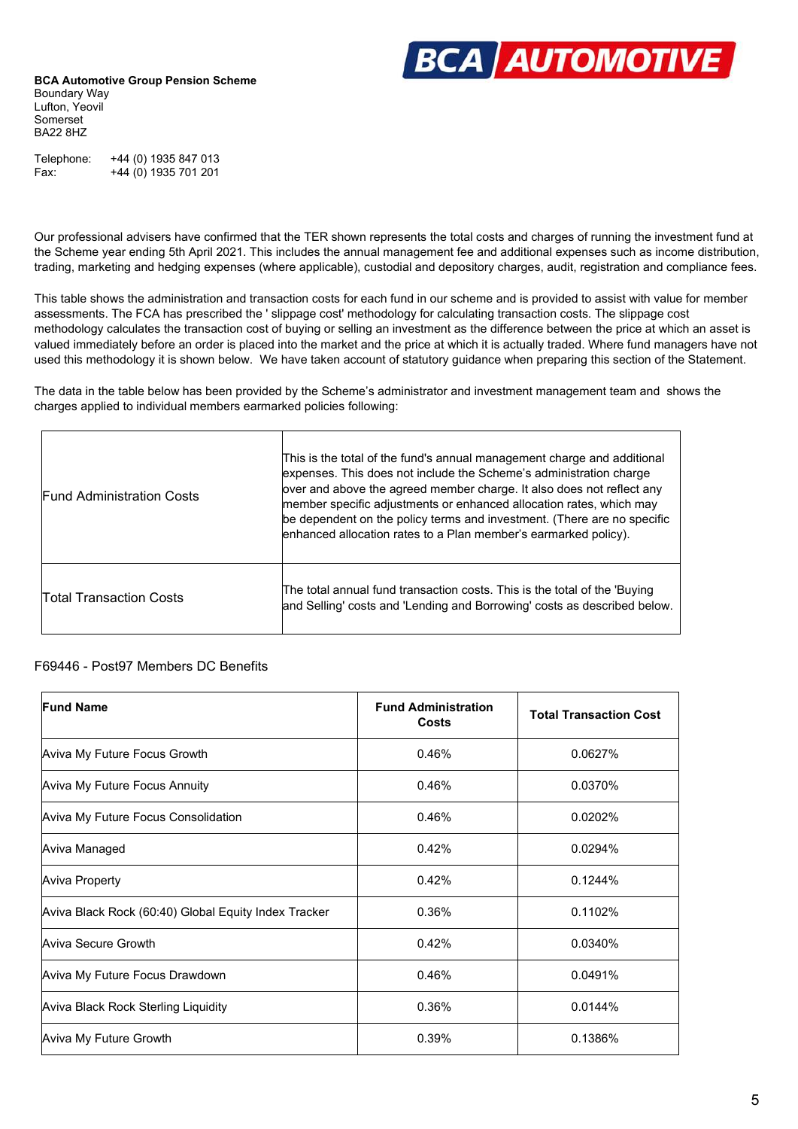

Telephone: +44 (0) 1935 847 013 Fax: +44 (0) 1935 701 201

Our professional advisers have confirmed that the TER shown represents the total costs and charges of running the investment fund at the Scheme year ending 5th April 2021. This includes the annual management fee and additional expenses such as income distribution, trading, marketing and hedging expenses (where applicable), custodial and depository charges, audit, registration and compliance fees.

This table shows the administration and transaction costs for each fund in our scheme and is provided to assist with value for member assessments. The FCA has prescribed the ' slippage cost' methodology for calculating transaction costs. The slippage cost methodology calculates the transaction cost of buying or selling an investment as the difference between the price at which an asset is valued immediately before an order is placed into the market and the price at which it is actually traded. Where fund managers have not used this methodology it is shown below. We have taken account of statutory guidance when preparing this section of the Statement.

The data in the table below has been provided by the Scheme's administrator and investment management team and shows the charges applied to individual members earmarked policies following:

| <b>Fund Administration Costs</b> | This is the total of the fund's annual management charge and additional<br>expenses. This does not include the Scheme's administration charge<br>over and above the agreed member charge. It also does not reflect any<br>member specific adjustments or enhanced allocation rates, which may<br>be dependent on the policy terms and investment. (There are no specific<br>enhanced allocation rates to a Plan member's earmarked policy). |
|----------------------------------|---------------------------------------------------------------------------------------------------------------------------------------------------------------------------------------------------------------------------------------------------------------------------------------------------------------------------------------------------------------------------------------------------------------------------------------------|
| <b>Total Transaction Costs</b>   | The total annual fund transaction costs. This is the total of the 'Buying<br>and Selling' costs and 'Lending and Borrowing' costs as described below.                                                                                                                                                                                                                                                                                       |

### F69446 - Post97 Members DC Benefits

| <b>Fund Name</b>                                     | <b>Fund Administration</b><br><b>Costs</b> | <b>Total Transaction Cost</b> |
|------------------------------------------------------|--------------------------------------------|-------------------------------|
| Aviva My Future Focus Growth                         | 0.46%                                      | 0.0627%                       |
| Aviva My Future Focus Annuity                        | 0.46%                                      | 0.0370%                       |
| Aviva My Future Focus Consolidation                  | 0.46%                                      | 0.0202%                       |
| Aviva Managed                                        | 0.42%                                      | 0.0294%                       |
| Aviva Property                                       | 0.42%                                      | 0.1244%                       |
| Aviva Black Rock (60:40) Global Equity Index Tracker | 0.36%                                      | 0.1102%                       |
| <b>Aviva Secure Growth</b>                           | 0.42%                                      | 0.0340%                       |
| Aviva My Future Focus Drawdown                       | 0.46%                                      | 0.0491%                       |
| Aviva Black Rock Sterling Liquidity                  | 0.36%                                      | 0.0144%                       |
| Aviva My Future Growth                               | 0.39%                                      | 0.1386%                       |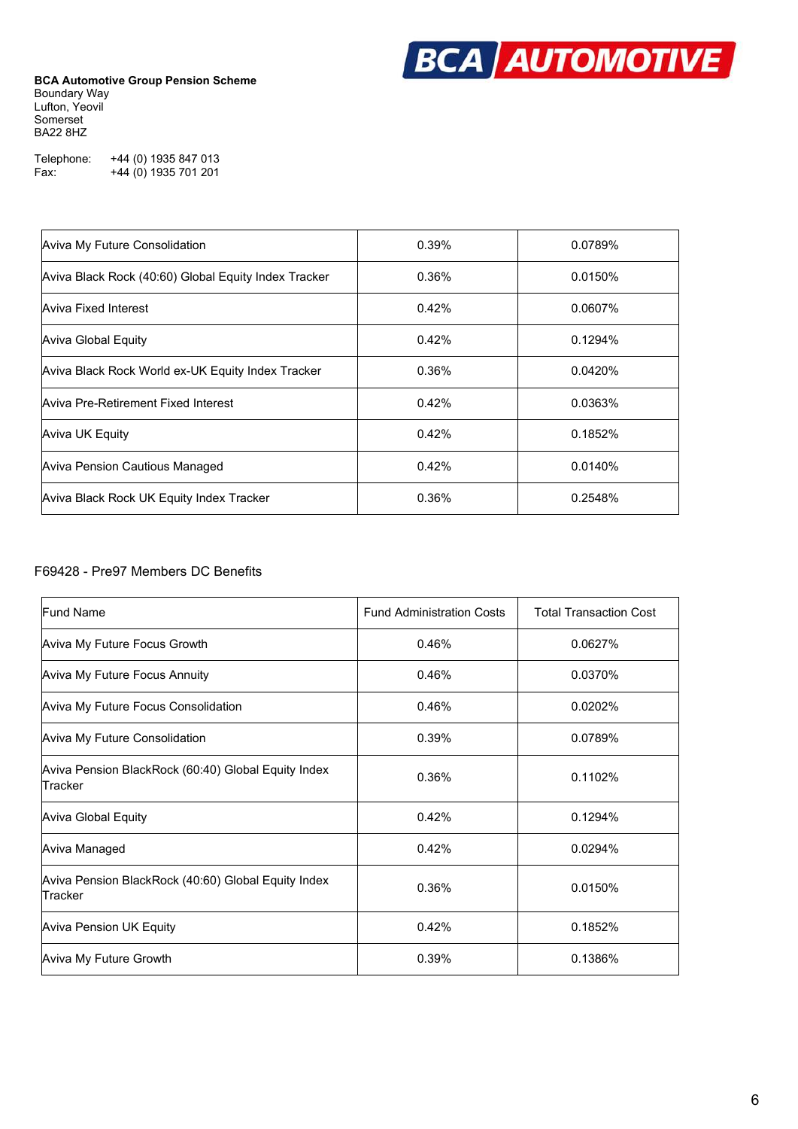

Telephone: +44 (0) 1935 847 013 Fax: +44 (0) 1935 701 201

| Aviva My Future Consolidation                        | 0.39% | 0.0789% |
|------------------------------------------------------|-------|---------|
| Aviva Black Rock (40:60) Global Equity Index Tracker | 0.36% | 0.0150% |
| Aviva Fixed Interest                                 | 0.42% | 0.0607% |
| Aviva Global Equity                                  | 0.42% | 0.1294% |
| Aviva Black Rock World ex-UK Equity Index Tracker    | 0.36% | 0.0420% |
| Aviva Pre-Retirement Fixed Interest                  | 0.42% | 0.0363% |
| Aviva UK Equity                                      | 0.42% | 0.1852% |
| Aviva Pension Cautious Managed                       | 0.42% | 0.0140% |
| Aviva Black Rock UK Equity Index Tracker             | 0.36% | 0.2548% |

### F69428 - Pre97 Members DC Benefits

| <b>Fund Name</b>                                               | <b>Fund Administration Costs</b> | <b>Total Transaction Cost</b> |
|----------------------------------------------------------------|----------------------------------|-------------------------------|
| Aviva My Future Focus Growth                                   | 0.46%                            | 0.0627%                       |
| Aviva My Future Focus Annuity                                  | 0.46%                            | 0.0370%                       |
| Aviva My Future Focus Consolidation                            | 0.46%                            | 0.0202%                       |
| Aviva My Future Consolidation                                  | 0.39%                            | 0.0789%                       |
| Aviva Pension BlackRock (60:40) Global Equity Index<br>Tracker | 0.36%                            | 0.1102%                       |
| <b>Aviva Global Equity</b>                                     | 0.42%                            | 0.1294%                       |
| Aviva Managed                                                  | 0.42%                            | 0.0294%                       |
| Aviva Pension BlackRock (40:60) Global Equity Index<br>Tracker | 0.36%                            | 0.0150%                       |
| Aviva Pension UK Equity                                        | 0.42%                            | 0.1852%                       |
| Aviva My Future Growth                                         | 0.39%                            | 0.1386%                       |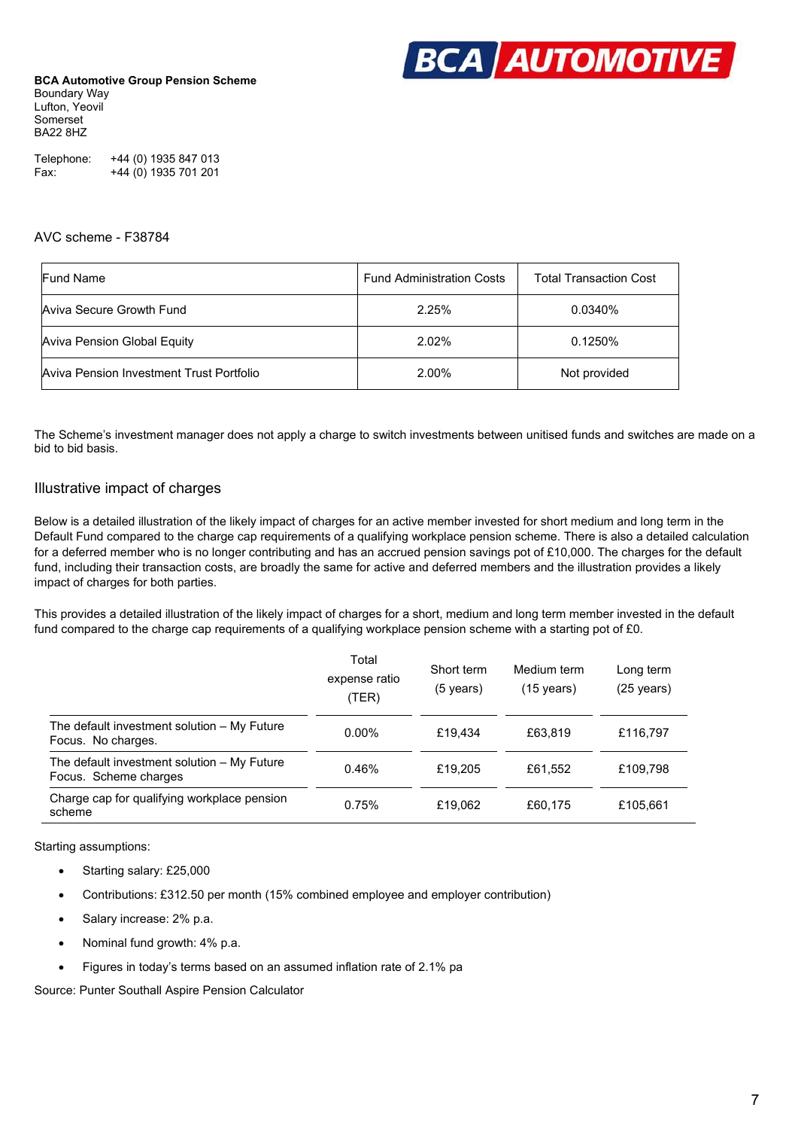

Telephone: +44 (0) 1935 847 013 Fax: +44 (0) 1935 701 201

#### AVC scheme - F38784

| <b>Fund Name</b>                         | <b>Fund Administration Costs</b> | <b>Total Transaction Cost</b> |  |
|------------------------------------------|----------------------------------|-------------------------------|--|
| Aviva Secure Growth Fund                 | 2.25%                            | 0.0340%                       |  |
| <b>Aviva Pension Global Equity</b>       | 2.02%                            | 0.1250%                       |  |
| Aviva Pension Investment Trust Portfolio | 2.00%                            | Not provided                  |  |

The Scheme's investment manager does not apply a charge to switch investments between unitised funds and switches are made on a bid to bid basis.

### Illustrative impact of charges

Below is a detailed illustration of the likely impact of charges for an active member invested for short medium and long term in the Default Fund compared to the charge cap requirements of a qualifying workplace pension scheme. There is also a detailed calculation for a deferred member who is no longer contributing and has an accrued pension savings pot of £10,000. The charges for the default fund, including their transaction costs, are broadly the same for active and deferred members and the illustration provides a likely impact of charges for both parties.

This provides a detailed illustration of the likely impact of charges for a short, medium and long term member invested in the default fund compared to the charge cap requirements of a qualifying workplace pension scheme with a starting pot of £0.

|                                                                      | Total<br>expense ratio<br>(TER) | Short term<br>$(5 \text{ years})$ | Medium term<br>$(15 \text{ years})$ | Long term<br>(25 years) |
|----------------------------------------------------------------------|---------------------------------|-----------------------------------|-------------------------------------|-------------------------|
| The default investment solution - My Future<br>Focus. No charges.    | $0.00\%$                        | £19.434                           | £63,819                             | £116,797                |
| The default investment solution - My Future<br>Focus. Scheme charges | 0.46%                           | £19,205                           | £61,552                             | £109.798                |
| Charge cap for qualifying workplace pension<br>scheme                | 0.75%                           | £19.062                           | £60,175                             | £105.661                |

Starting assumptions:

- Starting salary: £25,000
- Contributions: £312.50 per month (15% combined employee and employer contribution)
- Salary increase: 2% p.a.
- Nominal fund growth: 4% p.a.
- Figures in today's terms based on an assumed inflation rate of 2.1% pa

Source: Punter Southall Aspire Pension Calculator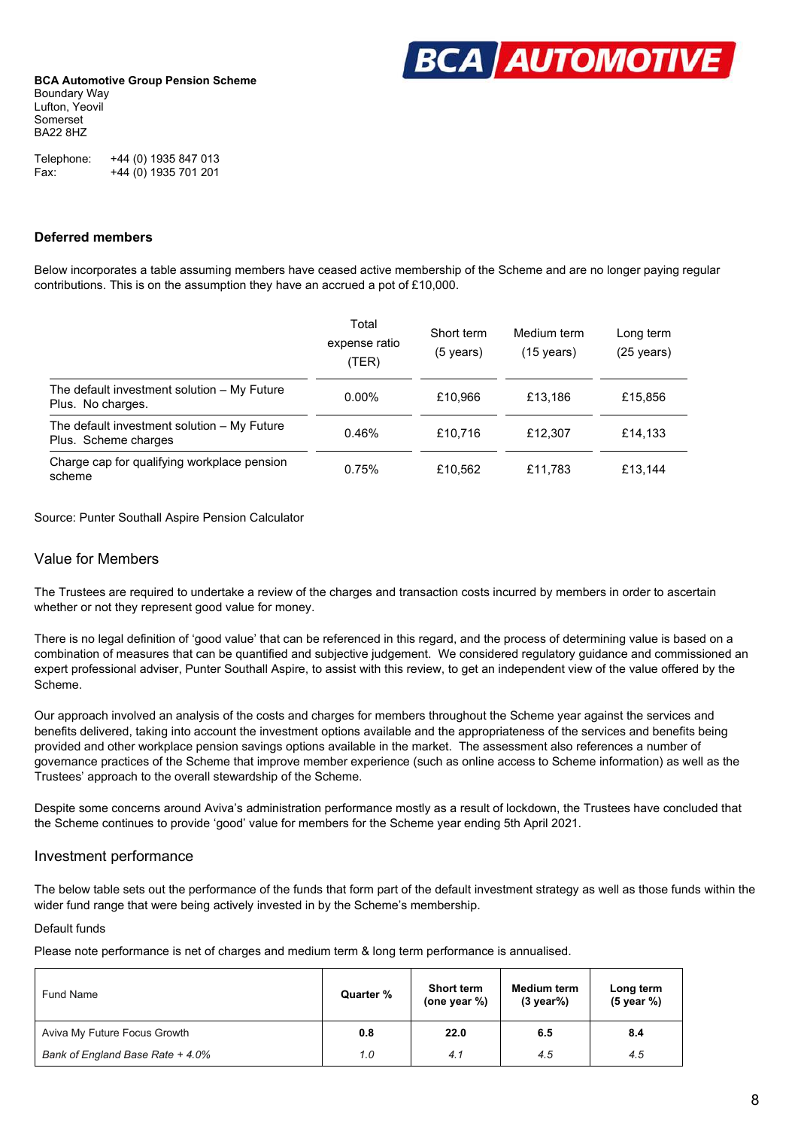

Telephone: +44 (0) 1935 847 013 Fax: +44 (0) 1935 701 201

### **Deferred members**

Below incorporates a table assuming members have ceased active membership of the Scheme and are no longer paying regular contributions. This is on the assumption they have an accrued a pot of £10,000.

|                                                                     | Total<br>expense ratio<br>(TER) | Short term<br>(5 years) | Medium term<br>$(15 \text{ years})$ | Long term<br>$(25 \text{ years})$ |
|---------------------------------------------------------------------|---------------------------------|-------------------------|-------------------------------------|-----------------------------------|
| The default investment solution – My Future<br>Plus. No charges.    | $0.00\%$                        | £10.966                 | £13.186                             | £15,856                           |
| The default investment solution - My Future<br>Plus. Scheme charges | 0.46%                           | £10,716                 | £12.307                             | £14,133                           |
| Charge cap for qualifying workplace pension<br>scheme               | 0.75%                           | £10,562                 | £11,783                             | £13.144                           |

Source: Punter Southall Aspire Pension Calculator

### Value for Members

The Trustees are required to undertake a review of the charges and transaction costs incurred by members in order to ascertain whether or not they represent good value for money.

There is no legal definition of 'good value' that can be referenced in this regard, and the process of determining value is based on a combination of measures that can be quantified and subjective judgement. We considered regulatory guidance and commissioned an expert professional adviser, Punter Southall Aspire, to assist with this review, to get an independent view of the value offered by the Scheme.

Our approach involved an analysis of the costs and charges for members throughout the Scheme year against the services and benefits delivered, taking into account the investment options available and the appropriateness of the services and benefits being provided and other workplace pension savings options available in the market. The assessment also references a number of governance practices of the Scheme that improve member experience (such as online access to Scheme information) as well as the Trustees' approach to the overall stewardship of the Scheme.

Despite some concerns around Aviva's administration performance mostly as a result of lockdown, the Trustees have concluded that the Scheme continues to provide 'good' value for members for the Scheme year ending 5th April 2021.

### Investment performance

The below table sets out the performance of the funds that form part of the default investment strategy as well as those funds within the wider fund range that were being actively invested in by the Scheme's membership.

### Default funds

Please note performance is net of charges and medium term & long term performance is annualised.

| Fund Name                        | Quarter % | <b>Short term</b><br>(one year %) | Medium term<br>$(3 \text{ year})$ | Long term<br>(5 year %) |
|----------------------------------|-----------|-----------------------------------|-----------------------------------|-------------------------|
| Aviva My Future Focus Growth     | 0.8       | 22.0                              | 6.5                               | 8.4                     |
| Bank of England Base Rate + 4.0% | 1.0       | 4.1                               | 4.5                               | 4.5                     |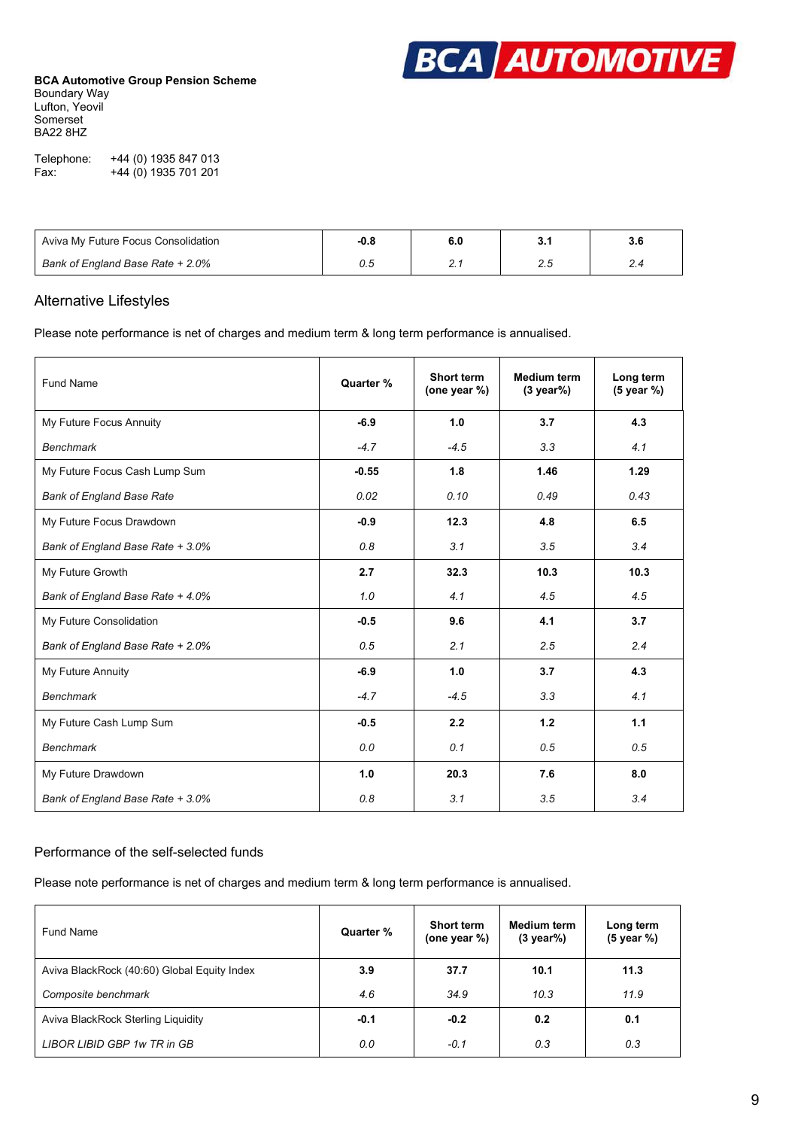

| Telephone: | +44 (0) 1935 847 013 |
|------------|----------------------|
| Fax:       | +44 (0) 1935 701 201 |

| Aviva My Future Focus Consolidation | $-0.8$ |        | 3.6      |
|-------------------------------------|--------|--------|----------|
| Bank of England Base Rate + 2.0%    | U.t    | $\sim$ | <u>.</u> |

### Alternative Lifestyles

Please note performance is net of charges and medium term & long term performance is annualised.

| Fund Name                        | Quarter % | Short term<br>(one year %) | <b>Medium term</b><br>$(3 \text{ year})$ | Long term<br>(5 year %) |
|----------------------------------|-----------|----------------------------|------------------------------------------|-------------------------|
| My Future Focus Annuity          | $-6.9$    | 1.0                        | 3.7                                      | 4.3                     |
| <b>Benchmark</b>                 | $-4.7$    | $-4.5$                     | 3.3                                      | 4.1                     |
| My Future Focus Cash Lump Sum    | $-0.55$   | 1.8                        | 1.46                                     | 1.29                    |
| <b>Bank of England Base Rate</b> | 0.02      | 0.10                       | 0.49                                     | 0.43                    |
| My Future Focus Drawdown         | $-0.9$    | 12.3                       | 4.8                                      | 6.5                     |
| Bank of England Base Rate + 3.0% | 0.8       | 3.1                        | 3.5                                      | 3.4                     |
| My Future Growth                 | 2.7       | 32.3                       | 10.3                                     | 10.3                    |
| Bank of England Base Rate + 4.0% | 1.0       | 4.1                        | 4.5                                      | 4.5                     |
| My Future Consolidation          | $-0.5$    | 9.6                        | 4.1                                      | 3.7                     |
| Bank of England Base Rate + 2.0% | 0.5       | 2.1                        | 2.5                                      | 2.4                     |
| My Future Annuity                | $-6.9$    | 1.0                        | 3.7                                      | 4.3                     |
| <b>Benchmark</b>                 | $-4.7$    | $-4.5$                     | 3.3                                      | 4.1                     |
| My Future Cash Lump Sum          | $-0.5$    | 2.2                        | 1.2                                      | 1.1                     |
| <b>Benchmark</b>                 | 0.0       | 0.1                        | 0.5                                      | 0.5                     |
| My Future Drawdown               | 1.0       | 20.3                       | 7.6                                      | 8.0                     |
| Bank of England Base Rate + 3.0% | 0.8       | 3.1                        | 3.5                                      | 3.4                     |

### Performance of the self-selected funds

Please note performance is net of charges and medium term & long term performance is annualised.

| Fund Name                                   | Quarter % | <b>Short term</b><br>(one year %) | <b>Medium term</b><br>$(3 \text{ year})$ | Long term<br>(5 year %) |
|---------------------------------------------|-----------|-----------------------------------|------------------------------------------|-------------------------|
| Aviva BlackRock (40:60) Global Equity Index | 3.9       | 37.7                              | 10.1                                     | 11.3                    |
| Composite benchmark                         | 4.6       | 34.9                              | 10.3                                     | 11.9                    |
| Aviva BlackRock Sterling Liquidity          | $-0.1$    | $-0.2$                            | 0.2                                      | 0.1                     |
| LIBOR LIBID GBP 1w TR in GB                 | 0.0       | $-0.1$                            | 0.3                                      | 0.3                     |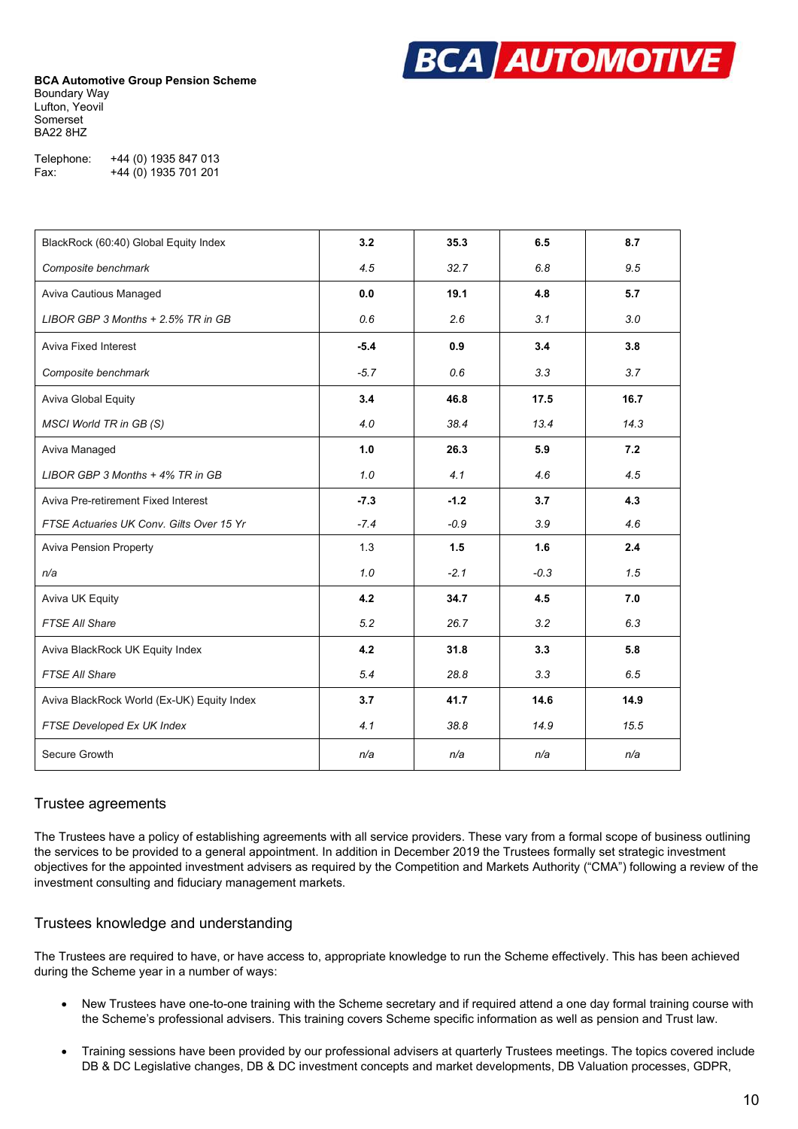

| Telephone: | +44 (0) 1935 847 013 |
|------------|----------------------|
| Fax:       | +44 (0) 1935 701 201 |

| BlackRock (60:40) Global Equity Index      | 3.2    | 35.3   | 6.5    | 8.7  |
|--------------------------------------------|--------|--------|--------|------|
| Composite benchmark                        | 4.5    | 32.7   | 6.8    | 9.5  |
| Aviva Cautious Managed                     | 0.0    | 19.1   | 4.8    | 5.7  |
| LIBOR GBP 3 Months + 2.5% TR in GB         | 0.6    | 2.6    | 3.1    | 3.0  |
| <b>Aviva Fixed Interest</b>                | $-5.4$ | 0.9    | 3.4    | 3.8  |
| Composite benchmark                        | $-5.7$ | 0.6    | 3.3    | 3.7  |
| Aviva Global Equity                        | 3.4    | 46.8   | 17.5   | 16.7 |
| MSCI World TR in GB (S)                    | 4.0    | 38.4   | 13.4   | 14.3 |
| Aviva Managed                              | 1.0    | 26.3   | 5.9    | 7.2  |
| LIBOR GBP 3 Months + 4% TR in GB           | 1.0    | 4.1    | 4.6    | 4.5  |
| Aviva Pre-retirement Fixed Interest        | $-7.3$ | $-1.2$ | 3.7    | 4.3  |
| FTSE Actuaries UK Conv. Gilts Over 15 Yr   | $-7.4$ | $-0.9$ | 3.9    | 4.6  |
| <b>Aviva Pension Property</b>              | 1.3    | 1.5    | 1.6    | 2.4  |
| n/a                                        | 1.0    | $-2.1$ | $-0.3$ | 1.5  |
| Aviva UK Equity                            | 4.2    | 34.7   | 4.5    | 7.0  |
| FTSE All Share                             | 5.2    | 26.7   | 3.2    | 6.3  |
| Aviva BlackRock UK Equity Index            | 4.2    | 31.8   | 3.3    | 5.8  |
| <b>FTSE All Share</b>                      | 5.4    | 28.8   | 3.3    | 6.5  |
| Aviva BlackRock World (Ex-UK) Equity Index | 3.7    | 41.7   | 14.6   | 14.9 |
| FTSE Developed Ex UK Index                 | 4.1    | 38.8   | 14.9   | 15.5 |
| Secure Growth                              | n/a    | n/a    | n/a    | n/a  |

### Trustee agreements

The Trustees have a policy of establishing agreements with all service providers. These vary from a formal scope of business outlining the services to be provided to a general appointment. In addition in December 2019 the Trustees formally set strategic investment objectives for the appointed investment advisers as required by the Competition and Markets Authority ("CMA") following a review of the investment consulting and fiduciary management markets.

### Trustees knowledge and understanding

The Trustees are required to have, or have access to, appropriate knowledge to run the Scheme effectively. This has been achieved during the Scheme year in a number of ways:

- New Trustees have one-to-one training with the Scheme secretary and if required attend a one day formal training course with the Scheme's professional advisers. This training covers Scheme specific information as well as pension and Trust law.
- Training sessions have been provided by our professional advisers at quarterly Trustees meetings. The topics covered include DB & DC Legislative changes, DB & DC investment concepts and market developments, DB Valuation processes, GDPR,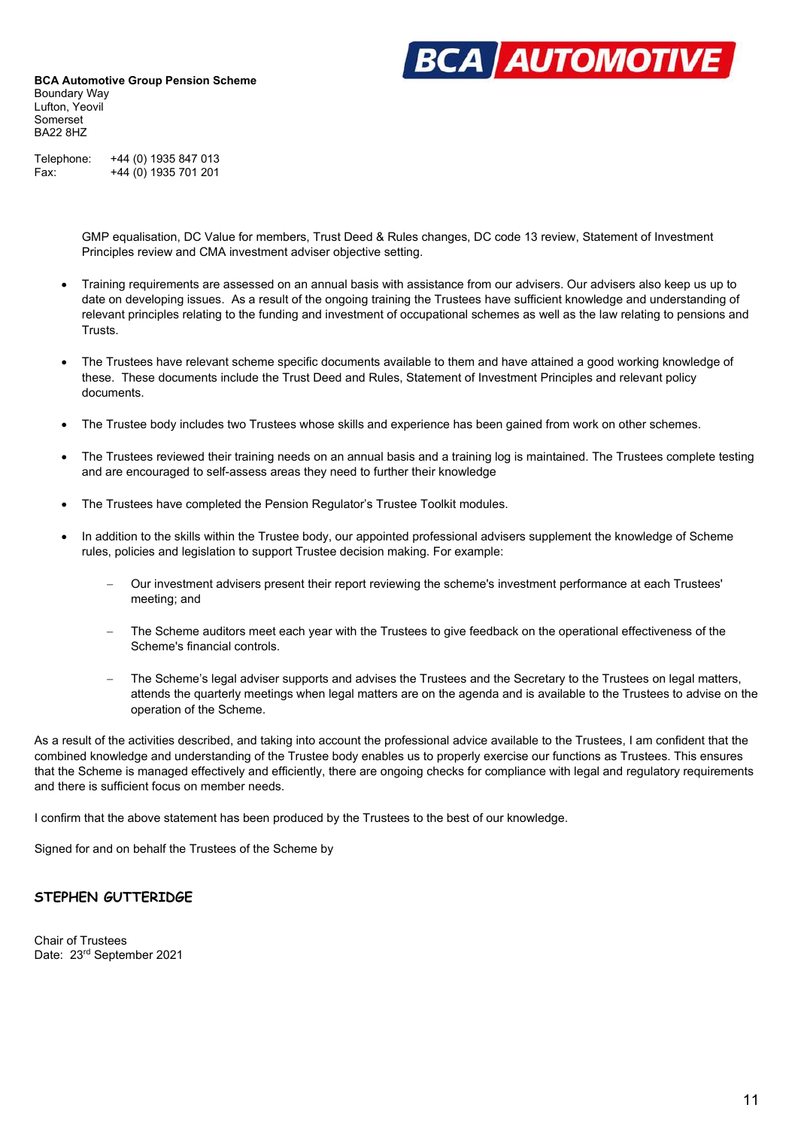

Telephone: +44 (0) 1935 847 013 Fax: +44 (0) 1935 701 201

> GMP equalisation, DC Value for members, Trust Deed & Rules changes, DC code 13 review, Statement of Investment Principles review and CMA investment adviser objective setting.

- Training requirements are assessed on an annual basis with assistance from our advisers. Our advisers also keep us up to date on developing issues. As a result of the ongoing training the Trustees have sufficient knowledge and understanding of relevant principles relating to the funding and investment of occupational schemes as well as the law relating to pensions and Trusts.
- The Trustees have relevant scheme specific documents available to them and have attained a good working knowledge of these. These documents include the Trust Deed and Rules, Statement of Investment Principles and relevant policy documents.
- The Trustee body includes two Trustees whose skills and experience has been gained from work on other schemes.
- The Trustees reviewed their training needs on an annual basis and a training log is maintained. The Trustees complete testing and are encouraged to self-assess areas they need to further their knowledge
- The Trustees have completed the Pension Regulator's Trustee Toolkit modules.
- In addition to the skills within the Trustee body, our appointed professional advisers supplement the knowledge of Scheme rules, policies and legislation to support Trustee decision making. For example:
	- Our investment advisers present their report reviewing the scheme's investment performance at each Trustees' meeting; and
	- The Scheme auditors meet each year with the Trustees to give feedback on the operational effectiveness of the Scheme's financial controls.
	- The Scheme's legal adviser supports and advises the Trustees and the Secretary to the Trustees on legal matters, attends the quarterly meetings when legal matters are on the agenda and is available to the Trustees to advise on the operation of the Scheme.

As a result of the activities described, and taking into account the professional advice available to the Trustees, I am confident that the combined knowledge and understanding of the Trustee body enables us to properly exercise our functions as Trustees. This ensures that the Scheme is managed effectively and efficiently, there are ongoing checks for compliance with legal and regulatory requirements and there is sufficient focus on member needs.

I confirm that the above statement has been produced by the Trustees to the best of our knowledge.

Signed for and on behalf the Trustees of the Scheme by

### **STEPHEN GUTTERIDGE**

Chair of Trustees Date: 23rd September 2021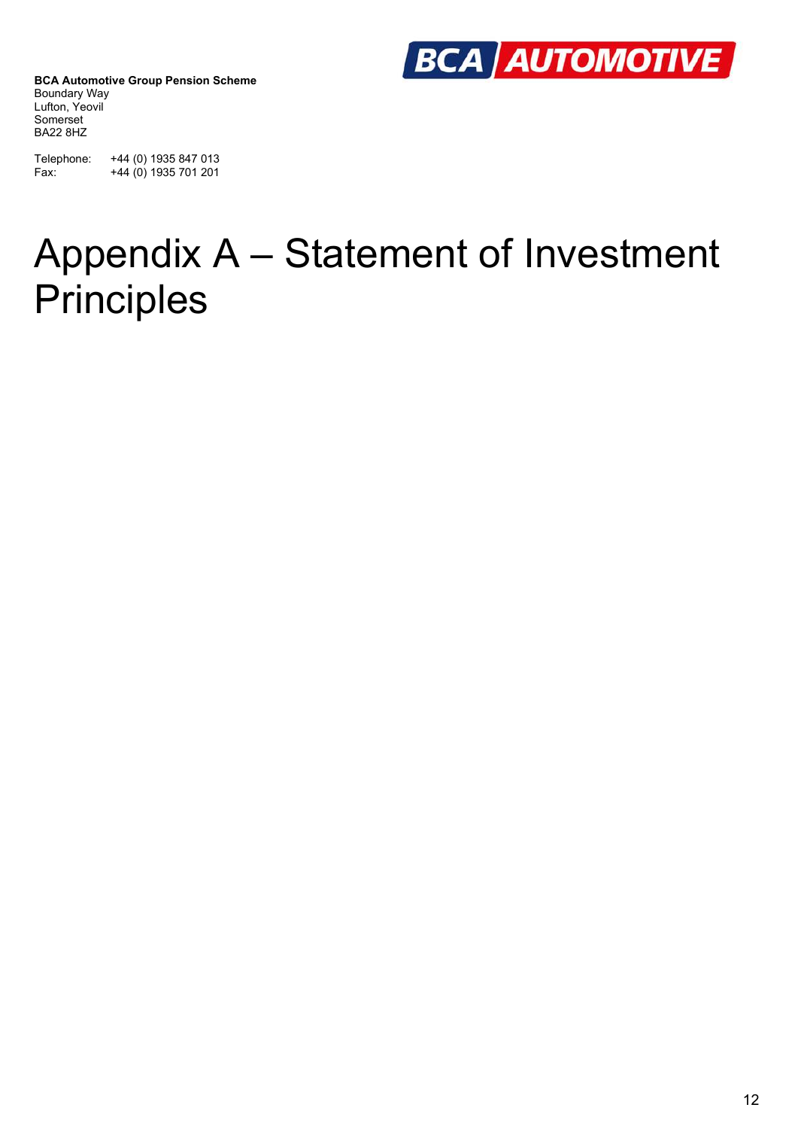

Telephone: +44 (0) 1935 847 013 Fax: +44 (0) 1935 701 201

### Appendix A – Statement of Investment **Principles**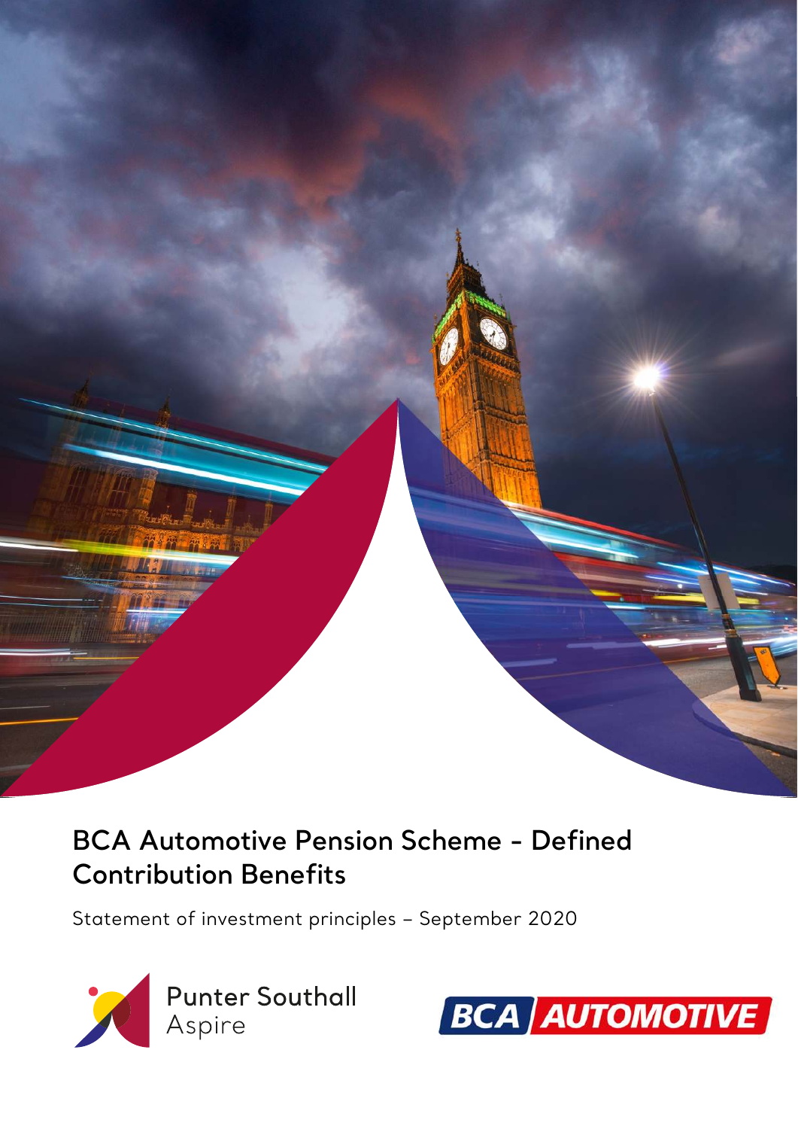

### **BCA Automotive Pension Scheme - Defined Contribution Benefits**

Statement of investment principles – September 2020



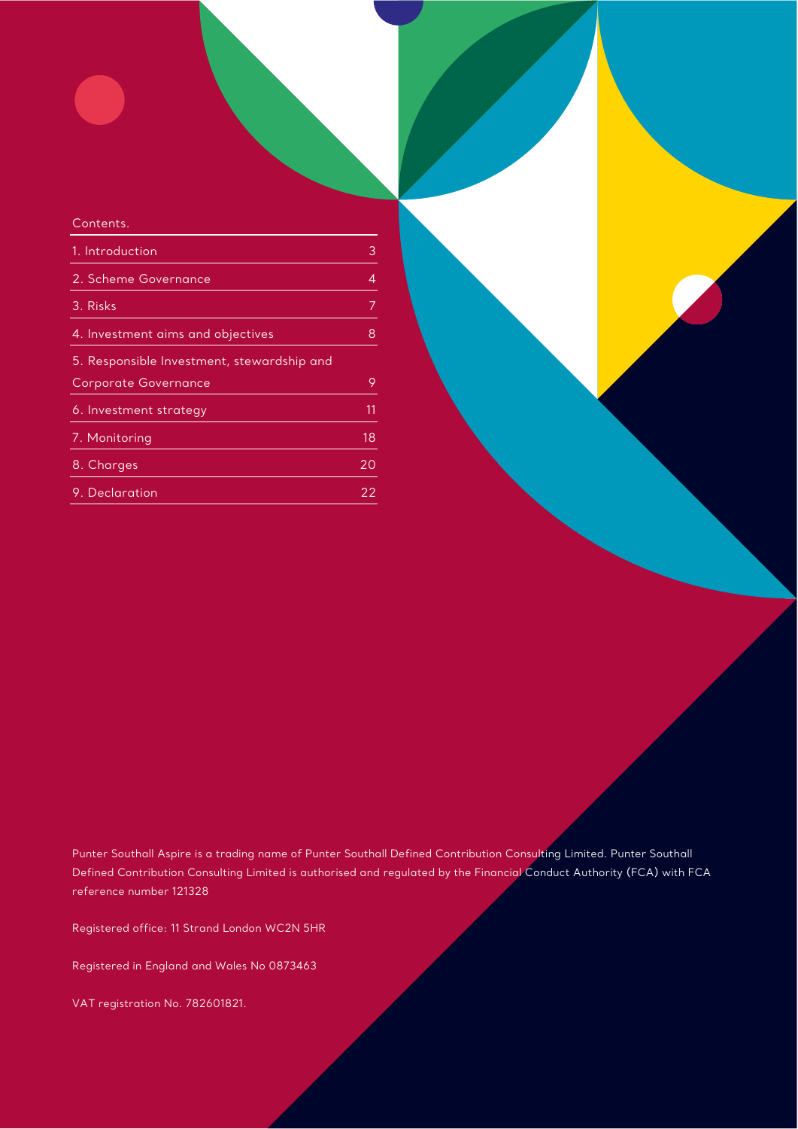### Contents. 1. Introduction 3 and 3 and 3 and 3 and 3 and 3 and 3 and 3 and 3 and 3 and 3 and 3 and 3 and 3 and 3 and 3 and 3 and 3 and 3 and 3 and 3 and 3 and 3 and 3 and 3 and 3 and 3 and 3 and 3 and 3 and 3 and 3 and 3 and 3 and 3 2. Scheme Governance 4 3. Risks 7 4. Investment aims and objectives 8 5. Responsible Investment, stewardship and Corporate Governance 9 6. Investment strategy 11 and 11 and 11 7. Monitoring 18 and 18 and 18 and 18 and 18 and 18 and 18 and 18 and 18 and 18 and 18 and 18 and 18 and 18 and 8. Charges 20 and 20 and 20 and 20 and 20 and 20 and 20 and 20 and 20 and 20 and 20 and 20 and 20 and 20 and 20 9. Declaration 22

Punter Southall Aspire is a trading name of Punter Southall Defined Contribution Consulting Limited. Punter Southall Defined Contribution Consulting Limited is authorised and regulated by the Financial Conduct Authority (FCA) with FCA reference number 121328

Registered office: 11 Strand London WC2N 5HR

Registered in England and Wales No 0873463

VAT registration No. 782601821.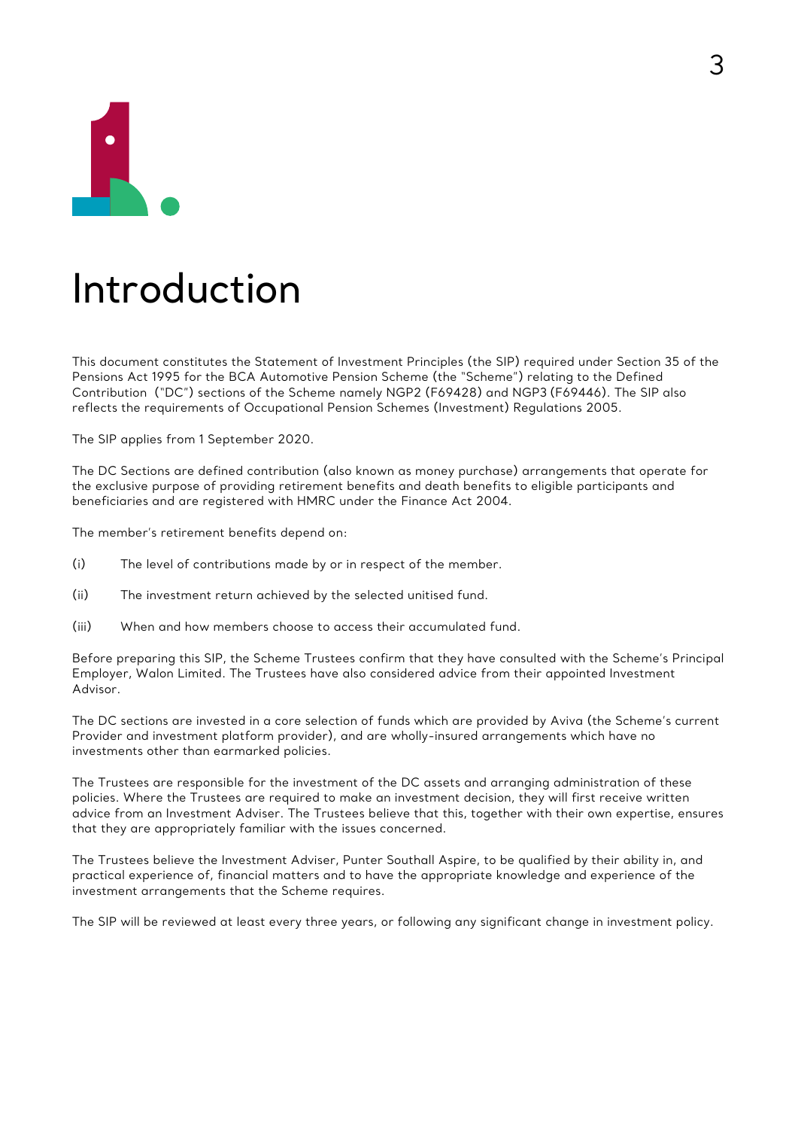

### Introduction

This document constitutes the Statement of Investment Principles (the SIP) required under Section 35 of the Pensions Act 1995 for the BCA Automotive Pension Scheme (the "Scheme") relating to the Defined Contribution ("DC") sections of the Scheme namely NGP2 (F69428) and NGP3 (F69446). The SIP also reflects the requirements of Occupational Pension Schemes (Investment) Regulations 2005.

The SIP applies from 1 September 2020.

The DC Sections are defined contribution (also known as money purchase) arrangements that operate for the exclusive purpose of providing retirement benefits and death benefits to eligible participants and beneficiaries and are registered with HMRC under the Finance Act 2004.

The member's retirement benefits depend on:

- (i) The level of contributions made by or in respect of the member.
- (ii) The investment return achieved by the selected unitised fund.
- (iii) When and how members choose to access their accumulated fund.

Before preparing this SIP, the Scheme Trustees confirm that they have consulted with the Scheme's Principal Employer, Walon Limited. The Trustees have also considered advice from their appointed Investment Advisor.

The DC sections are invested in a core selection of funds which are provided by Aviva (the Scheme's current Provider and investment platform provider), and are wholly-insured arrangements which have no investments other than earmarked policies.

The Trustees are responsible for the investment of the DC assets and arranging administration of these policies. Where the Trustees are required to make an investment decision, they will first receive written advice from an Investment Adviser. The Trustees believe that this, together with their own expertise, ensures that they are appropriately familiar with the issues concerned.

The Trustees believe the Investment Adviser, Punter Southall Aspire, to be qualified by their ability in, and practical experience of, financial matters and to have the appropriate knowledge and experience of the investment arrangements that the Scheme requires.

The SIP will be reviewed at least every three years, or following any significant change in investment policy.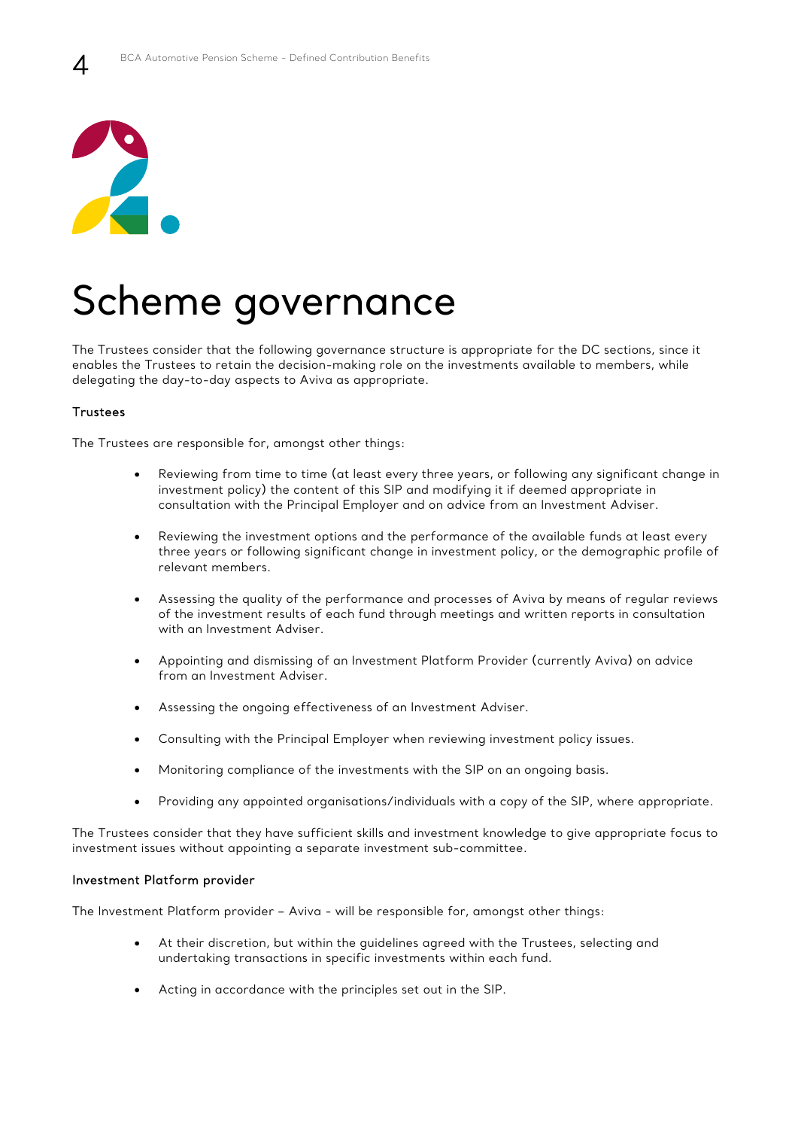

 $\varDelta$ 

### Scheme governance

The Trustees consider that the following governance structure is appropriate for the DC sections, since it enables the Trustees to retain the decision-making role on the investments available to members, while delegating the day-to-day aspects to Aviva as appropriate.

### **Trustees**

The Trustees are responsible for, amongst other things:

- Reviewing from time to time (at least every three years, or following any significant change in investment policy) the content of this SIP and modifying it if deemed appropriate in consultation with the Principal Employer and on advice from an Investment Adviser.
- Reviewing the investment options and the performance of the available funds at least every three years or following significant change in investment policy, or the demographic profile of relevant members.
- Assessing the quality of the performance and processes of Aviva by means of regular reviews of the investment results of each fund through meetings and written reports in consultation with an Investment Adviser.
- Appointing and dismissing of an Investment Platform Provider (currently Aviva) on advice from an Investment Adviser.
- Assessing the ongoing effectiveness of an Investment Adviser.
- Consulting with the Principal Employer when reviewing investment policy issues.
- Monitoring compliance of the investments with the SIP on an ongoing basis.
- Providing any appointed organisations/individuals with a copy of the SIP, where appropriate.

The Trustees consider that they have sufficient skills and investment knowledge to give appropriate focus to investment issues without appointing a separate investment sub-committee.

#### Investment Platform provider

The Investment Platform provider – Aviva - will be responsible for, amongst other things:

- At their discretion, but within the guidelines agreed with the Trustees, selecting and undertaking transactions in specific investments within each fund.
- Acting in accordance with the principles set out in the SIP.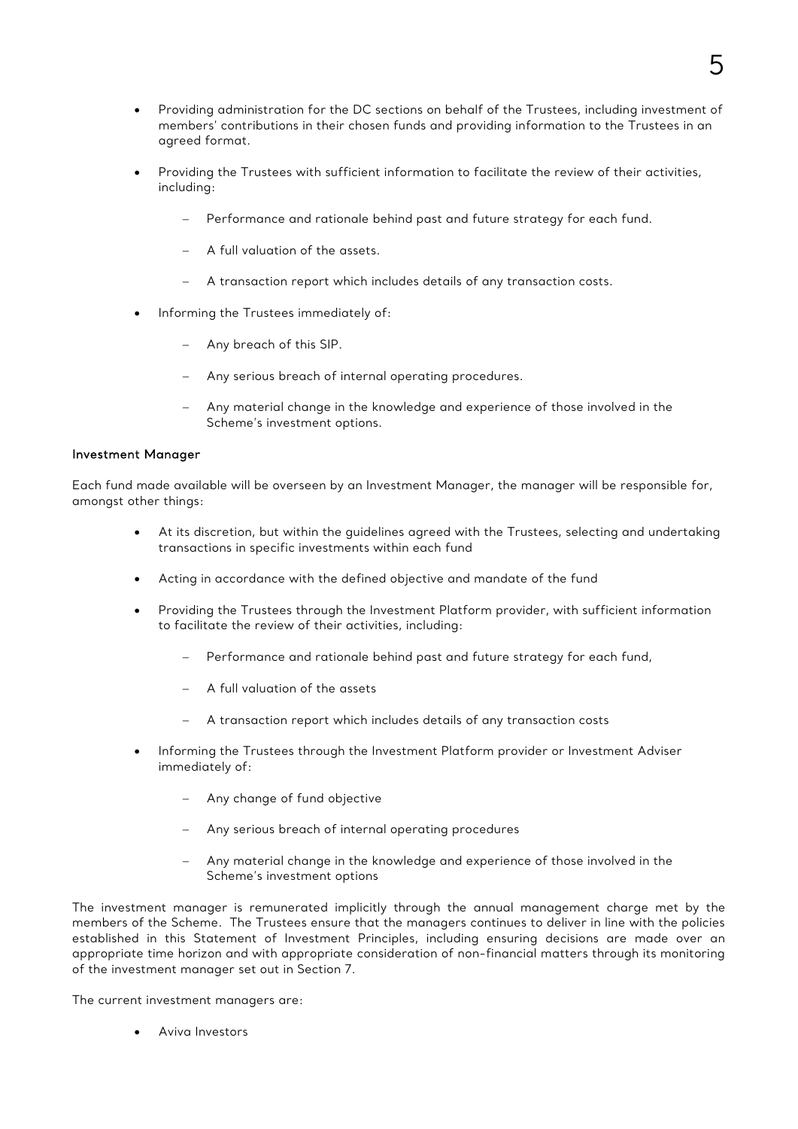- Providing administration for the DC sections on behalf of the Trustees, including investment of members' contributions in their chosen funds and providing information to the Trustees in an agreed format.
- Providing the Trustees with sufficient information to facilitate the review of their activities, including:
	- Performance and rationale behind past and future strategy for each fund.
	- $-$  A full valuation of the assets.
	- A transaction report which includes details of any transaction costs.
- Informing the Trustees immediately of:
	- Any breach of this SIP.
	- Any serious breach of internal operating procedures.
	- Any material change in the knowledge and experience of those involved in the Scheme's investment options.

### Investment Manager

Each fund made available will be overseen by an Investment Manager, the manager will be responsible for, amongst other things:

- At its discretion, but within the guidelines agreed with the Trustees, selecting and undertaking transactions in specific investments within each fund
- Acting in accordance with the defined objective and mandate of the fund
- Providing the Trustees through the Investment Platform provider, with sufficient information to facilitate the review of their activities, including:
	- Performance and rationale behind past and future strategy for each fund,
	- A full valuation of the assets
	- A transaction report which includes details of any transaction costs
- Informing the Trustees through the Investment Platform provider or Investment Adviser immediately of:
	- Any change of fund objective
	- Any serious breach of internal operating procedures
	- Any material change in the knowledge and experience of those involved in the Scheme's investment options

The investment manager is remunerated implicitly through the annual management charge met by the members of the Scheme. The Trustees ensure that the managers continues to deliver in line with the policies established in this Statement of Investment Principles, including ensuring decisions are made over an appropriate time horizon and with appropriate consideration of non-financial matters through its monitoring of the investment manager set out in Section 7.

The current investment managers are:

Aviva Investors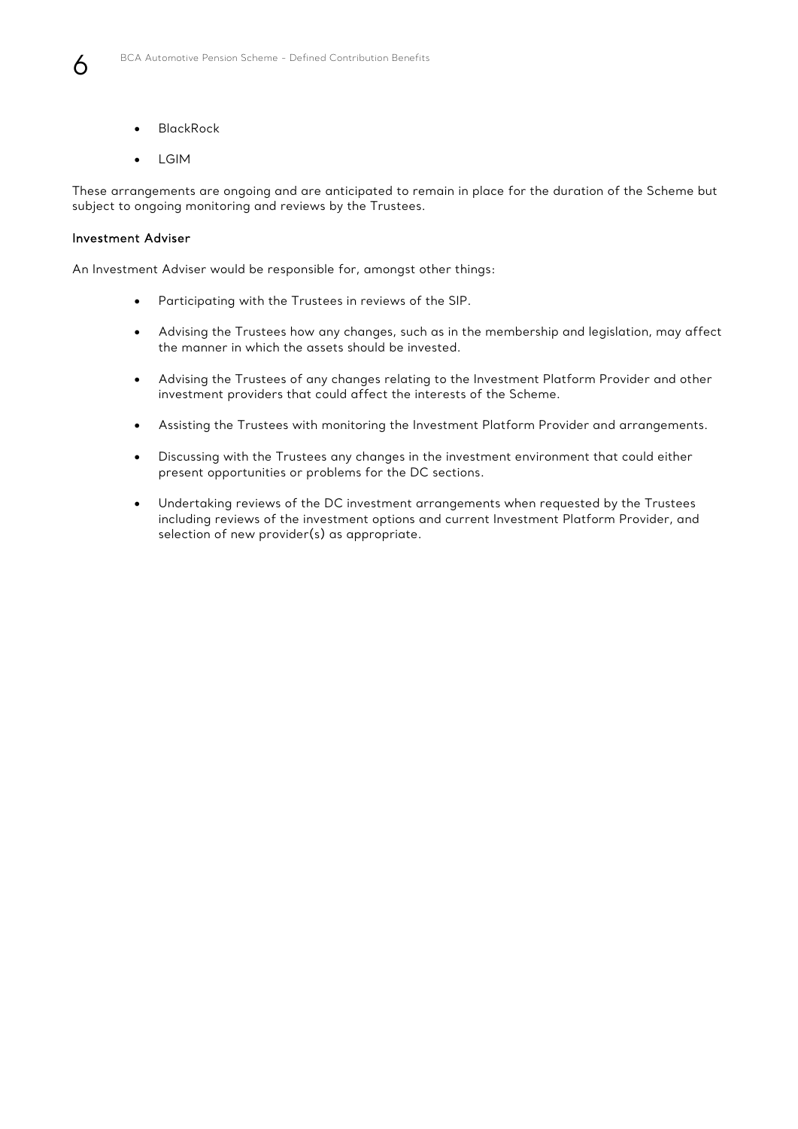

- BlackRock
- $\bullet$  LGIM

These arrangements are ongoing and are anticipated to remain in place for the duration of the Scheme but subject to ongoing monitoring and reviews by the Trustees.

#### Investment Adviser

An Investment Adviser would be responsible for, amongst other things:

- Participating with the Trustees in reviews of the SIP.
- Advising the Trustees how any changes, such as in the membership and legislation, may affect the manner in which the assets should be invested.
- Advising the Trustees of any changes relating to the Investment Platform Provider and other investment providers that could affect the interests of the Scheme.
- Assisting the Trustees with monitoring the Investment Platform Provider and arrangements.
- Discussing with the Trustees any changes in the investment environment that could either present opportunities or problems for the DC sections.
- Undertaking reviews of the DC investment arrangements when requested by the Trustees including reviews of the investment options and current Investment Platform Provider, and selection of new provider(s) as appropriate.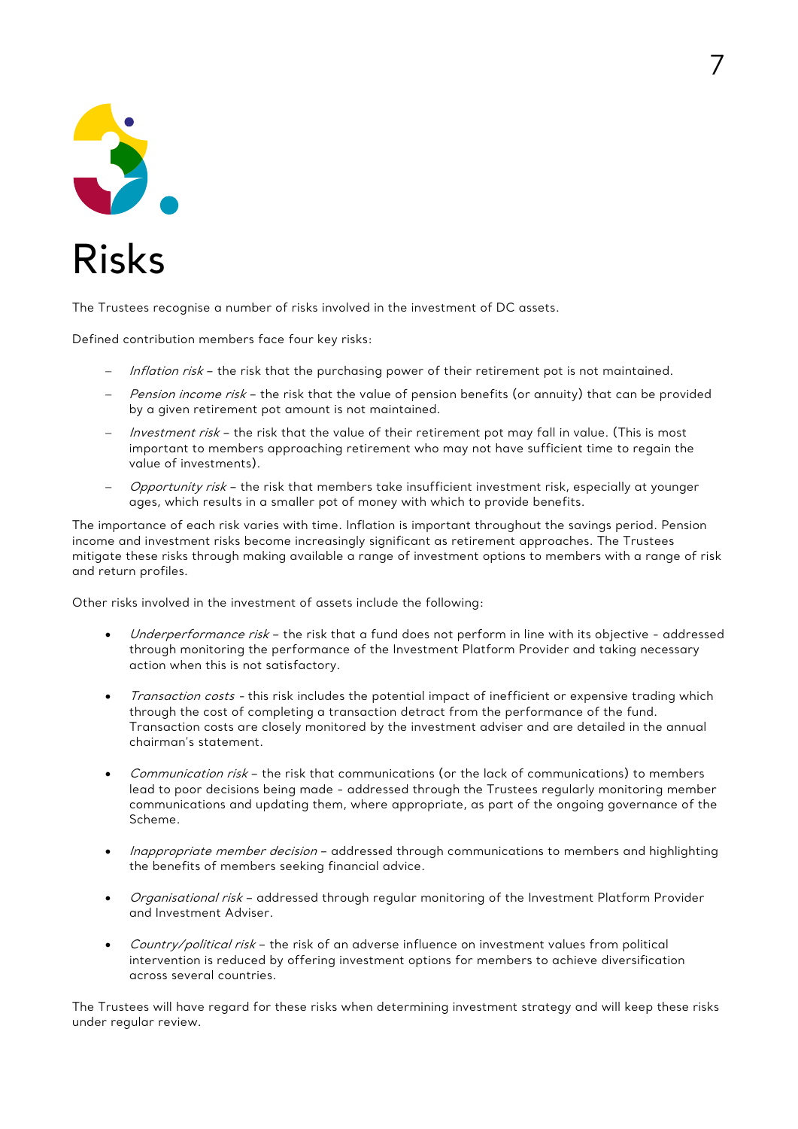

The Trustees recognise a number of risks involved in the investment of DC assets.

Defined contribution members face four key risks:

- Inflation risk the risk that the purchasing power of their retirement pot is not maintained.
- Pension income risk the risk that the value of pension benefits (or annuity) that can be provided by a given retirement pot amount is not maintained.
- Investment risk the risk that the value of their retirement pot may fall in value. (This is most important to members approaching retirement who may not have sufficient time to regain the value of investments).
- Opportunity risk the risk that members take insufficient investment risk, especially at younger ages, which results in a smaller pot of money with which to provide benefits.

The importance of each risk varies with time. Inflation is important throughout the savings period. Pension income and investment risks become increasingly significant as retirement approaches. The Trustees mitigate these risks through making available a range of investment options to members with a range of risk and return profiles.

Other risks involved in the investment of assets include the following:

- Underperformance risk the risk that a fund does not perform in line with its objective addressed through monitoring the performance of the Investment Platform Provider and taking necessary action when this is not satisfactory.
- Transaction costs this risk includes the potential impact of inefficient or expensive trading which through the cost of completing a transaction detract from the performance of the fund. Transaction costs are closely monitored by the investment adviser and are detailed in the annual chairman's statement.
- Communication risk the risk that communications (or the lack of communications) to members lead to poor decisions being made - addressed through the Trustees regularly monitoring member communications and updating them, where appropriate, as part of the ongoing governance of the Scheme.
- Inappropriate member decision addressed through communications to members and highlighting the benefits of members seeking financial advice.
- Organisational risk addressed through regular monitoring of the Investment Platform Provider and Investment Adviser.
- Country/political risk the risk of an adverse influence on investment values from political intervention is reduced by offering investment options for members to achieve diversification across several countries.

The Trustees will have regard for these risks when determining investment strategy and will keep these risks under regular review.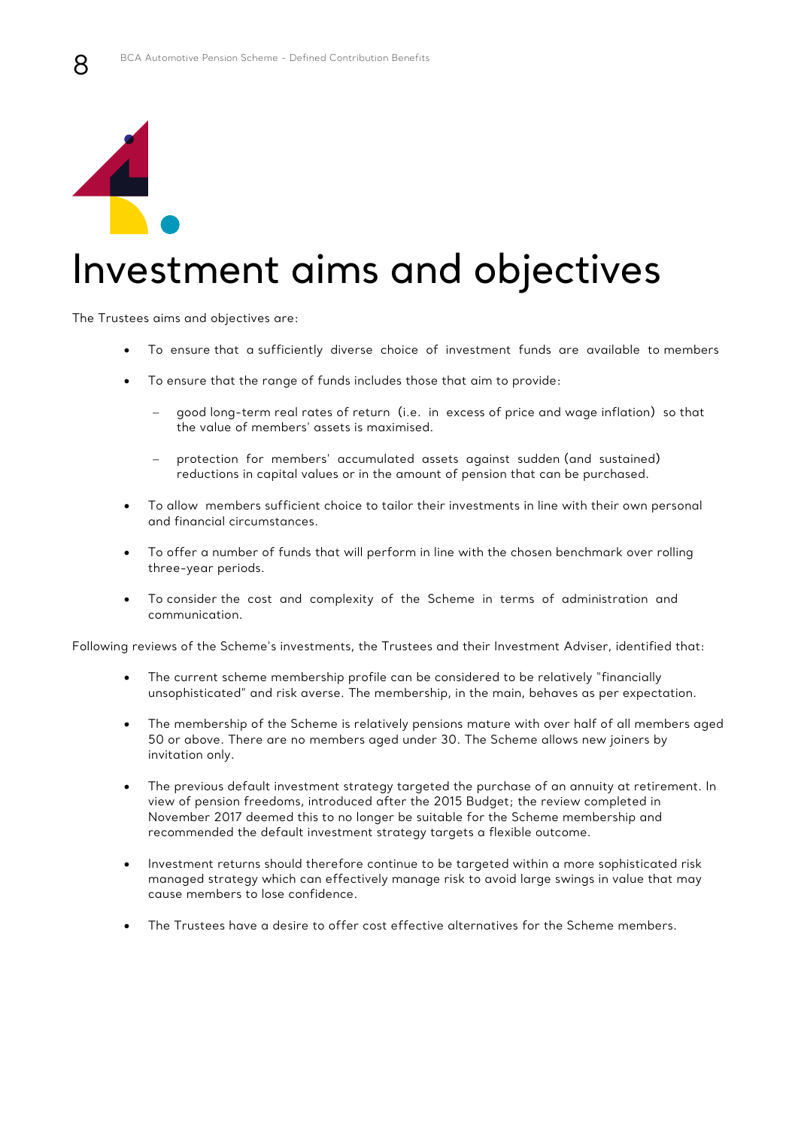

8

### Investment aims and objectives

The Trustees aims and objectives are:

- To ensure that a sufficiently diverse choice of investment funds are available to members
- To ensure that the range of funds includes those that aim to provide:
	- good long-term real rates of return (i.e. in excess of price and wage inflation) so that the value of members' assets is maximised.
	- protection for members' accumulated assets against sudden (and sustained) reductions in capital values or in the amount of pension that can be purchased.
- To allow members sufficient choice to tailor their investments in line with their own personal and financial circumstances.
- To offer a number of funds that will perform in line with the chosen benchmark over rolling three-year periods.
- To consider the cost and complexity of the Scheme in terms of administration and communication.

Following reviews of the Scheme's investments, the Trustees and their Investment Adviser, identified that:

- The current scheme membership profile can be considered to be relatively "financially unsophisticated" and risk averse. The membership, in the main, behaves as per expectation.
- The membership of the Scheme is relatively pensions mature with over half of all members aged 50 or above. There are no members aged under 30. The Scheme allows new joiners by invitation only.
- The previous default investment strategy targeted the purchase of an annuity at retirement. In view of pension freedoms, introduced after the 2015 Budget; the review completed in November 2017 deemed this to no longer be suitable for the Scheme membership and recommended the default investment strategy targets a flexible outcome.
- Investment returns should therefore continue to be targeted within a more sophisticated risk managed strategy which can effectively manage risk to avoid large swings in value that may cause members to lose confidence.
- The Trustees have a desire to offer cost effective alternatives for the Scheme members.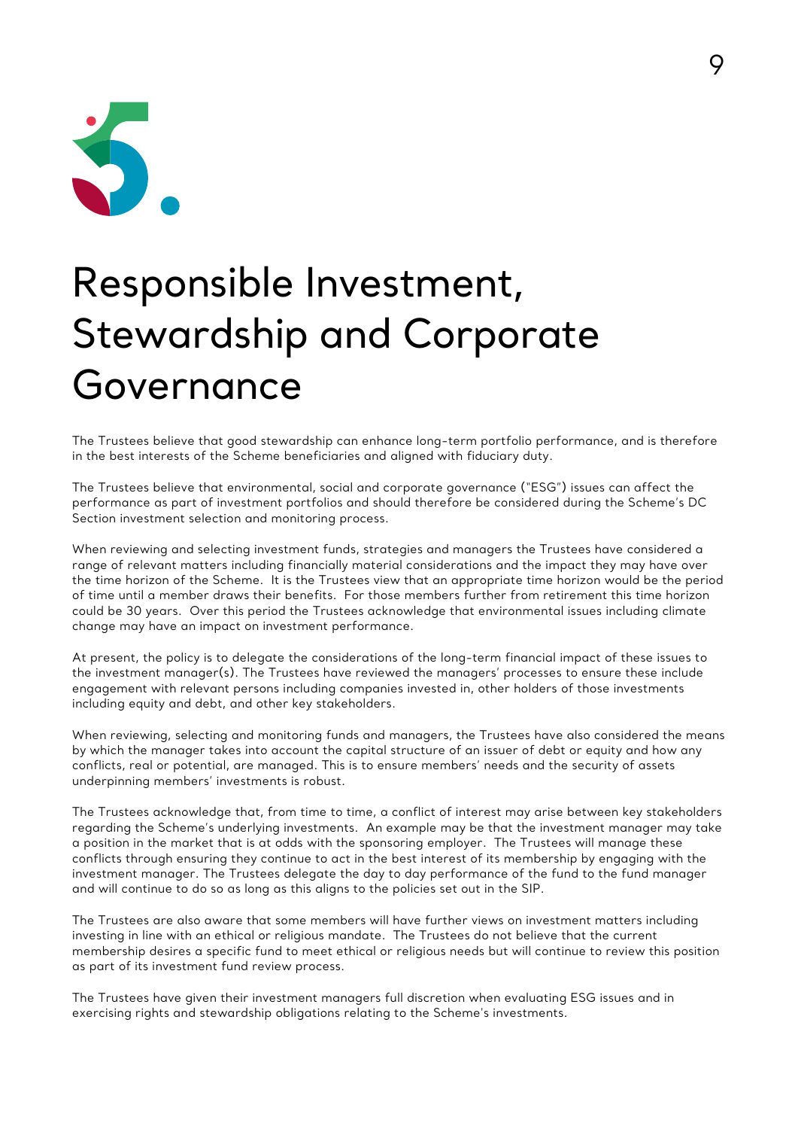

# Responsible Investment, Stewardship and Corporate Governance

The Trustees believe that good stewardship can enhance long-term portfolio performance, and is therefore in the best interests of the Scheme beneficiaries and aligned with fiduciary duty.

The Trustees believe that environmental, social and corporate governance ("ESG") issues can affect the performance as part of investment portfolios and should therefore be considered during the Scheme's DC Section investment selection and monitoring process.

When reviewing and selecting investment funds, strategies and managers the Trustees have considered a range of relevant matters including financially material considerations and the impact they may have over the time horizon of the Scheme. It is the Trustees view that an appropriate time horizon would be the period of time until a member draws their benefits. For those members further from retirement this time horizon could be 30 years. Over this period the Trustees acknowledge that environmental issues including climate change may have an impact on investment performance.

At present, the policy is to delegate the considerations of the long-term financial impact of these issues to the investment manager(s). The Trustees have reviewed the managers' processes to ensure these include engagement with relevant persons including companies invested in, other holders of those investments including equity and debt, and other key stakeholders.

When reviewing, selecting and monitoring funds and managers, the Trustees have also considered the means by which the manager takes into account the capital structure of an issuer of debt or equity and how any conflicts, real or potential, are managed. This is to ensure members' needs and the security of assets underpinning members' investments is robust.

The Trustees acknowledge that, from time to time, a conflict of interest may arise between key stakeholders regarding the Scheme's underlying investments. An example may be that the investment manager may take a position in the market that is at odds with the sponsoring employer. The Trustees will manage these conflicts through ensuring they continue to act in the best interest of its membership by engaging with the investment manager. The Trustees delegate the day to day performance of the fund to the fund manager and will continue to do so as long as this aligns to the policies set out in the SIP.

The Trustees are also aware that some members will have further views on investment matters including investing in line with an ethical or religious mandate. The Trustees do not believe that the current membership desires a specific fund to meet ethical or religious needs but will continue to review this position as part of its investment fund review process.

The Trustees have given their investment managers full discretion when evaluating ESG issues and in exercising rights and stewardship obligations relating to the Scheme's investments.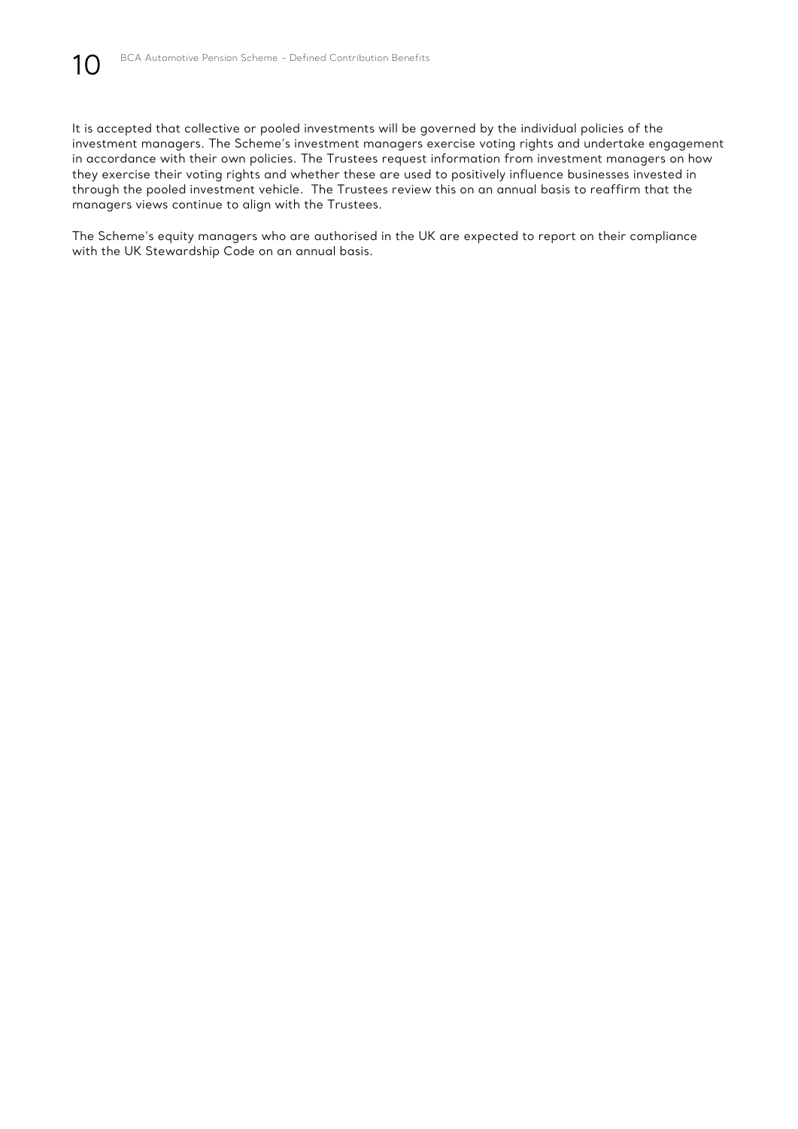It is accepted that collective or pooled investments will be governed by the individual policies of the investment managers. The Scheme's investment managers exercise voting rights and undertake engagement in accordance with their own policies. The Trustees request information from investment managers on how they exercise their voting rights and whether these are used to positively influence businesses invested in through the pooled investment vehicle. The Trustees review this on an annual basis to reaffirm that the managers views continue to align with the Trustees.

The Scheme's equity managers who are authorised in the UK are expected to report on their compliance with the UK Stewardship Code on an annual basis.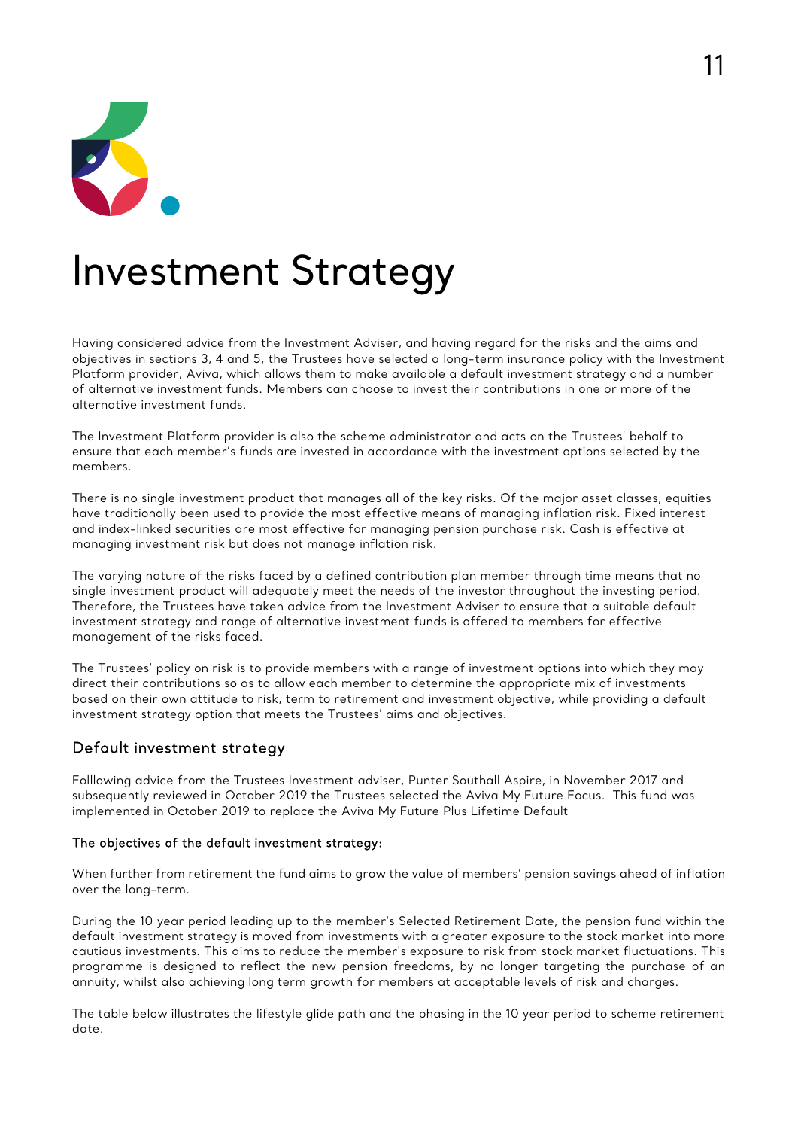

### Investment Strategy

Having considered advice from the Investment Adviser, and having regard for the risks and the aims and objectives in sections 3, 4 and 5, the Trustees have selected a long-term insurance policy with the Investment Platform provider, Aviva, which allows them to make available a default investment strategy and a number of alternative investment funds. Members can choose to invest their contributions in one or more of the alternative investment funds.

The Investment Platform provider is also the scheme administrator and acts on the Trustees' behalf to ensure that each member's funds are invested in accordance with the investment options selected by the members.

There is no single investment product that manages all of the key risks. Of the major asset classes, equities have traditionally been used to provide the most effective means of managing inflation risk. Fixed interest and index-linked securities are most effective for managing pension purchase risk. Cash is effective at managing investment risk but does not manage inflation risk.

The varying nature of the risks faced by a defined contribution plan member through time means that no single investment product will adequately meet the needs of the investor throughout the investing period. Therefore, the Trustees have taken advice from the Investment Adviser to ensure that a suitable default investment strategy and range of alternative investment funds is offered to members for effective management of the risks faced.

The Trustees' policy on risk is to provide members with a range of investment options into which they may direct their contributions so as to allow each member to determine the appropriate mix of investments based on their own attitude to risk, term to retirement and investment objective, while providing a default investment strategy option that meets the Trustees' aims and objectives.

### Default investment strategy

Folllowing advice from the Trustees Investment adviser, Punter Southall Aspire, in November 2017 and subsequently reviewed in October 2019 the Trustees selected the Aviva My Future Focus. This fund was implemented in October 2019 to replace the Aviva My Future Plus Lifetime Default

### The objectives of the default investment strategy:

When further from retirement the fund aims to grow the value of members' pension savings ahead of inflation over the long-term.

During the 10 year period leading up to the member's Selected Retirement Date, the pension fund within the default investment strategy is moved from investments with a greater exposure to the stock market into more cautious investments. This aims to reduce the member's exposure to risk from stock market fluctuations. This programme is designed to reflect the new pension freedoms, by no longer targeting the purchase of an annuity, whilst also achieving long term growth for members at acceptable levels of risk and charges.

The table below illustrates the lifestyle glide path and the phasing in the 10 year period to scheme retirement date.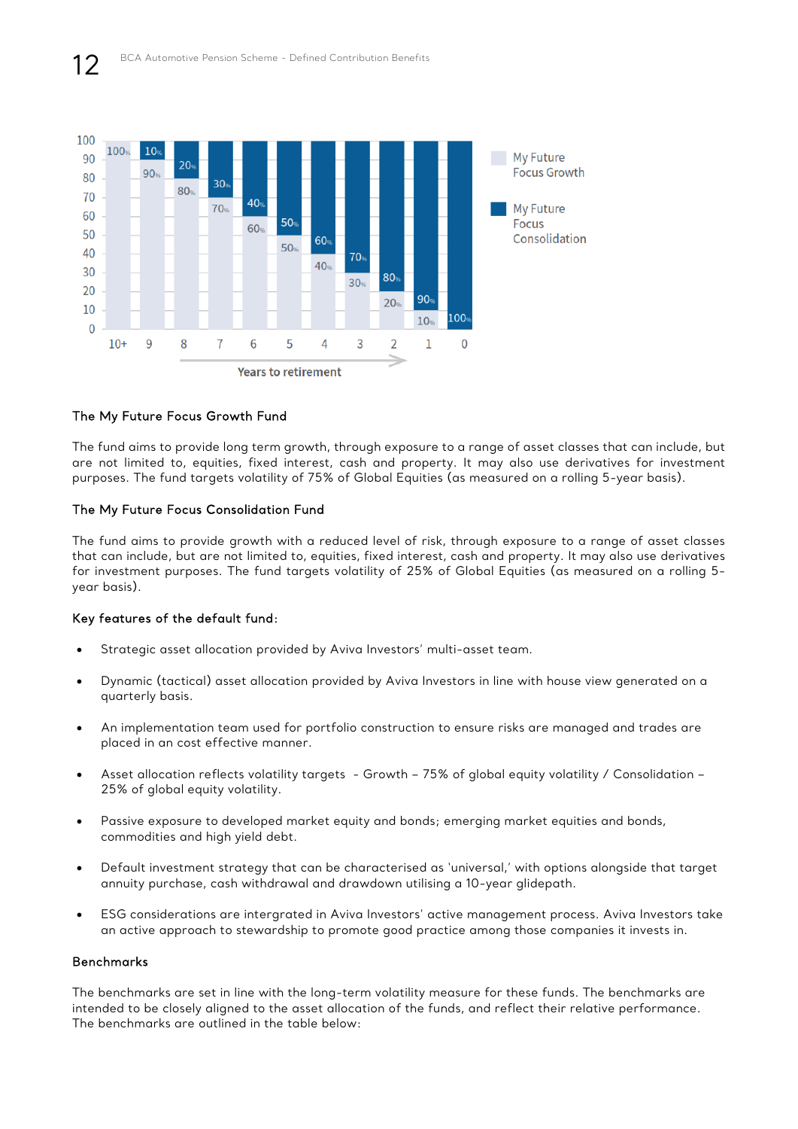

### The My Future Focus Growth Fund

The fund aims to provide long term growth, through exposure to a range of asset classes that can include, but are not limited to, equities, fixed interest, cash and property. It may also use derivatives for investment purposes. The fund targets volatility of 75% of Global Equities (as measured on a rolling 5-year basis).

### The My Future Focus Consolidation Fund

The fund aims to provide growth with a reduced level of risk, through exposure to a range of asset classes that can include, but are not limited to, equities, fixed interest, cash and property. It may also use derivatives for investment purposes. The fund targets volatility of 25% of Global Equities (as measured on a rolling 5 year basis).

### Key features of the default fund:

- Strategic asset allocation provided by Aviva Investors' multi-asset team.
- Dynamic (tactical) asset allocation provided by Aviva Investors in line with house view generated on a quarterly basis.
- An implementation team used for portfolio construction to ensure risks are managed and trades are placed in an cost effective manner.
- Asset allocation reflects volatility targets Growth 75% of global equity volatility / Consolidation 25% of global equity volatility.
- Passive exposure to developed market equity and bonds; emerging market equities and bonds, commodities and high yield debt.
- Default investment strategy that can be characterised as 'universal,' with options alongside that target annuity purchase, cash withdrawal and drawdown utilising a 10-year glidepath.
- ESG considerations are intergrated in Aviva Investors' active management process. Aviva Investors take an active approach to stewardship to promote good practice among those companies it invests in.

### Benchmarks

The benchmarks are set in line with the long-term volatility measure for these funds. The benchmarks are intended to be closely aligned to the asset allocation of the funds, and reflect their relative performance. The benchmarks are outlined in the table below: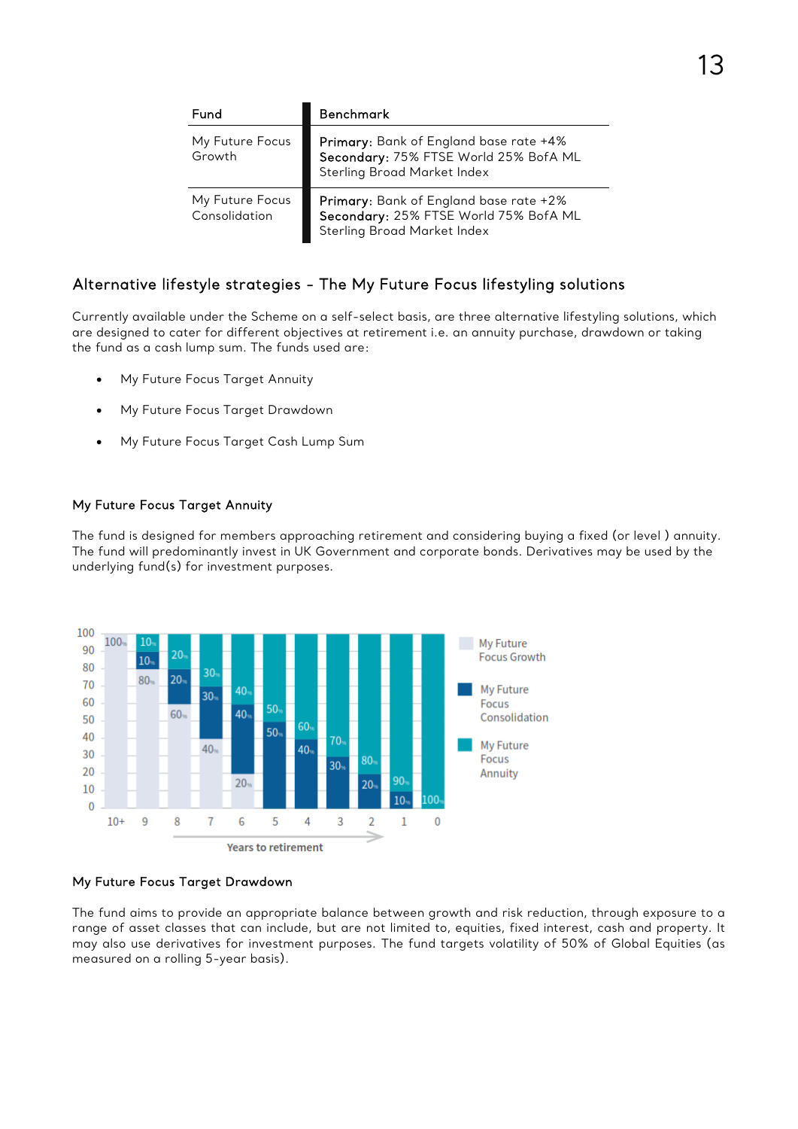| Fund                             | <b>Benchmark</b>                                                                                                      |
|----------------------------------|-----------------------------------------------------------------------------------------------------------------------|
| My Future Focus<br>Growth        | Primary: Bank of England base rate +4%<br>Secondary: 75% FTSE World 25% BofA ML<br><b>Sterling Broad Market Index</b> |
| My Future Focus<br>Consolidation | Primary: Bank of England base rate +2%<br>Secondary: 25% FTSE World 75% BofA ML<br><b>Sterling Broad Market Index</b> |

### Alternative lifestyle strategies - The My Future Focus lifestyling solutions

Currently available under the Scheme on a self-select basis, are three alternative lifestyling solutions, which are designed to cater for different objectives at retirement i.e. an annuity purchase, drawdown or taking the fund as a cash lump sum. The funds used are:

- My Future Focus Target Annuity
- My Future Focus Target Drawdown
- My Future Focus Target Cash Lump Sum

### My Future Focus Target Annuity

The fund is designed for members approaching retirement and considering buying a fixed (or level ) annuity. The fund will predominantly invest in UK Government and corporate bonds. Derivatives may be used by the underlying fund(s) for investment purposes.



### My Future Focus Target Drawdown

The fund aims to provide an appropriate balance between growth and risk reduction, through exposure to a range of asset classes that can include, but are not limited to, equities, fixed interest, cash and property. It may also use derivatives for investment purposes. The fund targets volatility of 50% of Global Equities (as measured on a rolling 5-year basis).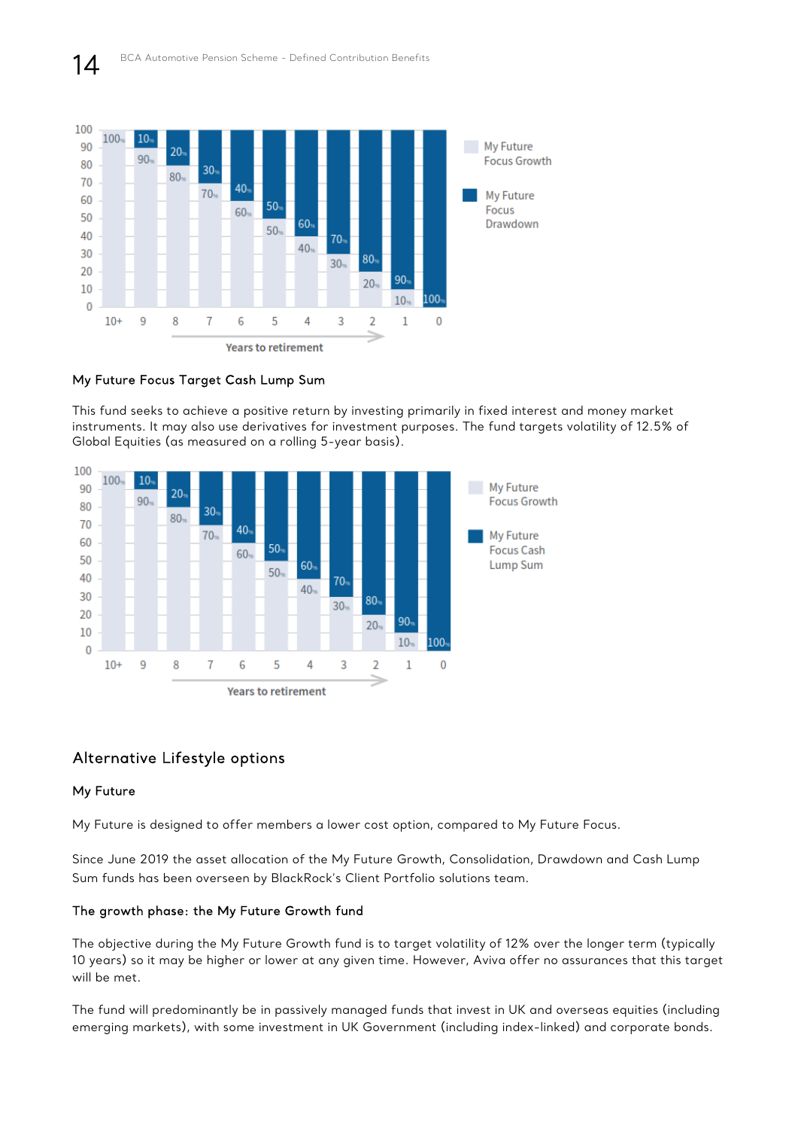

### My Future Focus Target Cash Lump Sum

This fund seeks to achieve a positive return by investing primarily in fixed interest and money market instruments. It may also use derivatives for investment purposes. The fund targets volatility of 12.5% of Global Equities (as measured on a rolling 5-year basis).



### Alternative Lifestyle options

### My Future

My Future is designed to offer members a lower cost option, compared to My Future Focus.

Since June 2019 the asset allocation of the My Future Growth, Consolidation, Drawdown and Cash Lump Sum funds has been overseen by BlackRock's Client Portfolio solutions team.

### The growth phase: the My Future Growth fund

The objective during the My Future Growth fund is to target volatility of 12% over the longer term (typically 10 years) so it may be higher or lower at any given time. However, Aviva offer no assurances that this target will be met.

The fund will predominantly be in passively managed funds that invest in UK and overseas equities (including emerging markets), with some investment in UK Government (including index-linked) and corporate bonds.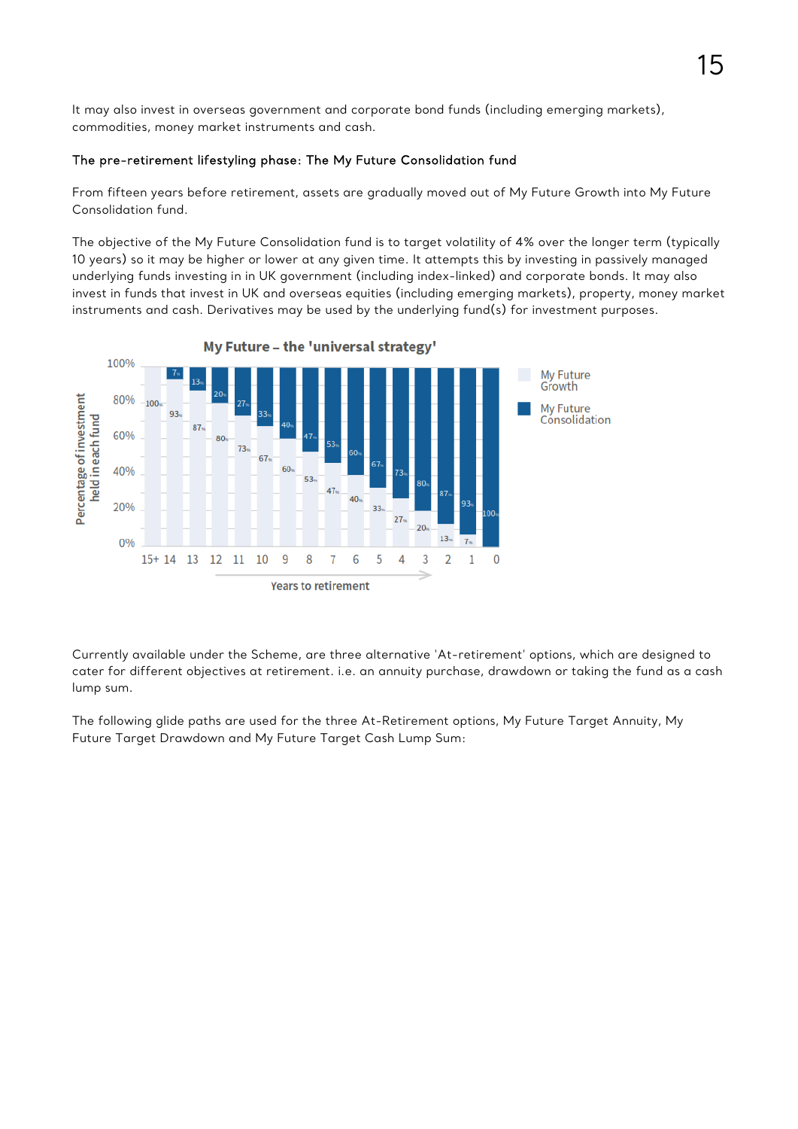It may also invest in overseas government and corporate bond funds (including emerging markets), commodities, money market instruments and cash.

### The pre-retirement lifestyling phase: The My Future Consolidation fund

From fifteen years before retirement, assets are gradually moved out of My Future Growth into My Future Consolidation fund.

The objective of the My Future Consolidation fund is to target volatility of 4% over the longer term (typically 10 years) so it may be higher or lower at any given time. It attempts this by investing in passively managed underlying funds investing in in UK government (including index-linked) and corporate bonds. It may also invest in funds that invest in UK and overseas equities (including emerging markets), property, money market instruments and cash. Derivatives may be used by the underlying fund(s) for investment purposes.



Currently available under the Scheme, are three alternative 'At-retirement' options, which are designed to cater for different objectives at retirement. i.e. an annuity purchase, drawdown or taking the fund as a cash lump sum.

The following glide paths are used for the three At-Retirement options, My Future Target Annuity, My Future Target Drawdown and My Future Target Cash Lump Sum: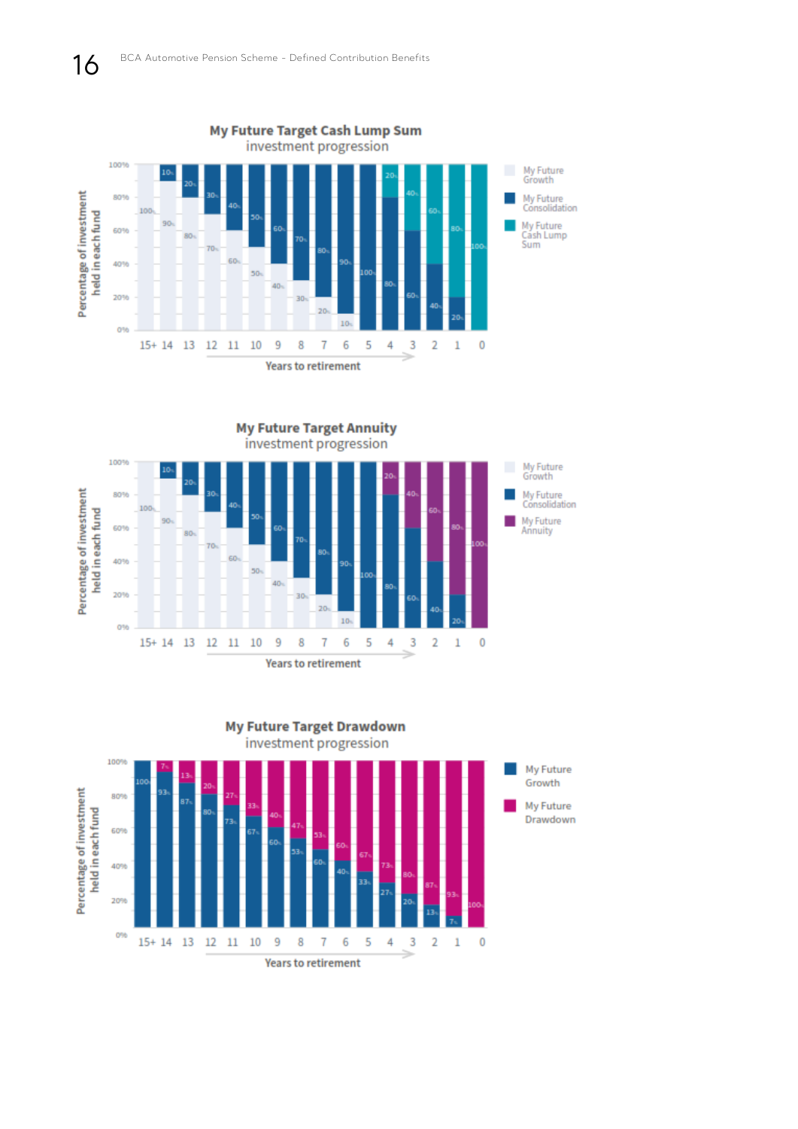





**Years to retirement**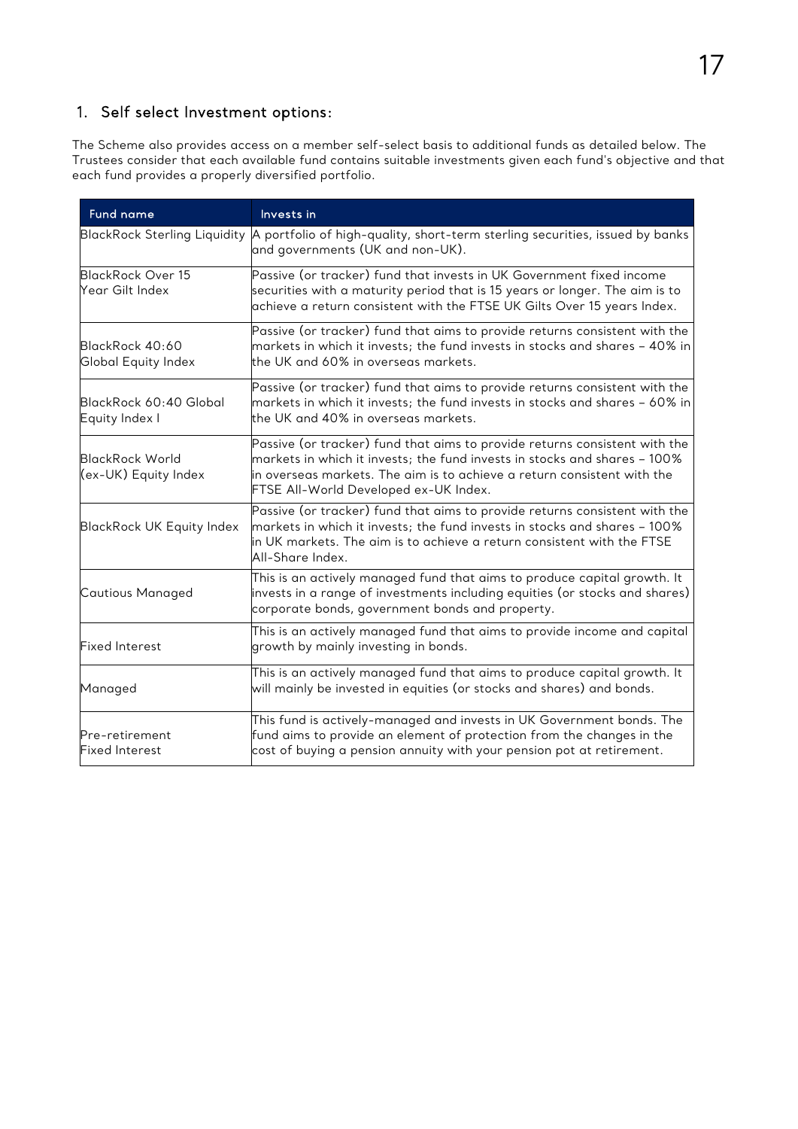### 1. Self select Investment options:

The Scheme also provides access on a member self-select basis to additional funds as detailed below. The Trustees consider that each available fund contains suitable investments given each fund's objective and that each fund provides a properly diversified portfolio.

| <b>Fund name</b>                            | Invests in                                                                                                                                                                                                                                                                                           |
|---------------------------------------------|------------------------------------------------------------------------------------------------------------------------------------------------------------------------------------------------------------------------------------------------------------------------------------------------------|
|                                             | BlackRock Sterling Liquidity A portfolio of high-quality, short-term sterling securities, issued by banks<br>and governments (UK and non-UK).                                                                                                                                                        |
| <b>BlackRock Over 15</b><br>Year Gilt Index | Passive (or tracker) fund that invests in UK Government fixed income<br>securities with a maturity period that is 15 years or longer. The aim is to<br>achieve a return consistent with the FTSE UK Gilts Over 15 years Index.                                                                       |
| BlackRock 40:60<br>Global Equity Index      | Passive (or tracker) fund that aims to provide returns consistent with the<br>markets in which it invests; the fund invests in stocks and shares – 40% in<br>the UK and 60% in overseas markets.                                                                                                     |
| BlackRock 60:40 Global<br>Equity Index I    | Passive (or tracker) fund that aims to provide returns consistent with the<br>markets in which it invests; the fund invests in stocks and shares - 60% in<br>the UK and 40% in overseas markets.                                                                                                     |
| BlackRock World<br>(ex-UK) Equity Index     | $\mathsf{\mathsf{Passive}}$ (or tracker) fund that aims to provide returns consistent with the<br>markets in which it invests; the fund invests in stocks and shares – 100% $\,$<br>in overseas markets. The aim is to achieve a return consistent with the<br>FTSE All-World Developed ex-UK Index. |
| <b>BlackRock UK Equity Index</b>            | Passive (or tracker) fund that aims to provide returns consistent with the<br>markets in which it invests; the fund invests in stocks and shares – 100% $\,$<br>in UK markets. The aim is to achieve a return consistent with the FTSE<br>All-Share Index.                                           |
| Cautious Managed                            | This is an actively managed fund that aims to produce capital growth. It<br>invests in a range of investments including equities (or stocks and shares)<br>corporate bonds, government bonds and property.                                                                                           |
| <b>Fixed Interest</b>                       | This is an actively managed fund that aims to provide income and capital $\overline{ }$<br>growth by mainly investing in bonds.                                                                                                                                                                      |
| Managed                                     | This is an actively managed fund that aims to produce capital growth. It<br>will mainly be invested in equities (or stocks and shares) and bonds.                                                                                                                                                    |
| Pre-retirement<br><b>Fixed Interest</b>     | This fund is actively-managed and invests in UK Government bonds. The<br>${\sf fund}$ aims to provide an element of protection from the changes in the<br>cost of buying a pension annuity with your pension pot at retirement.                                                                      |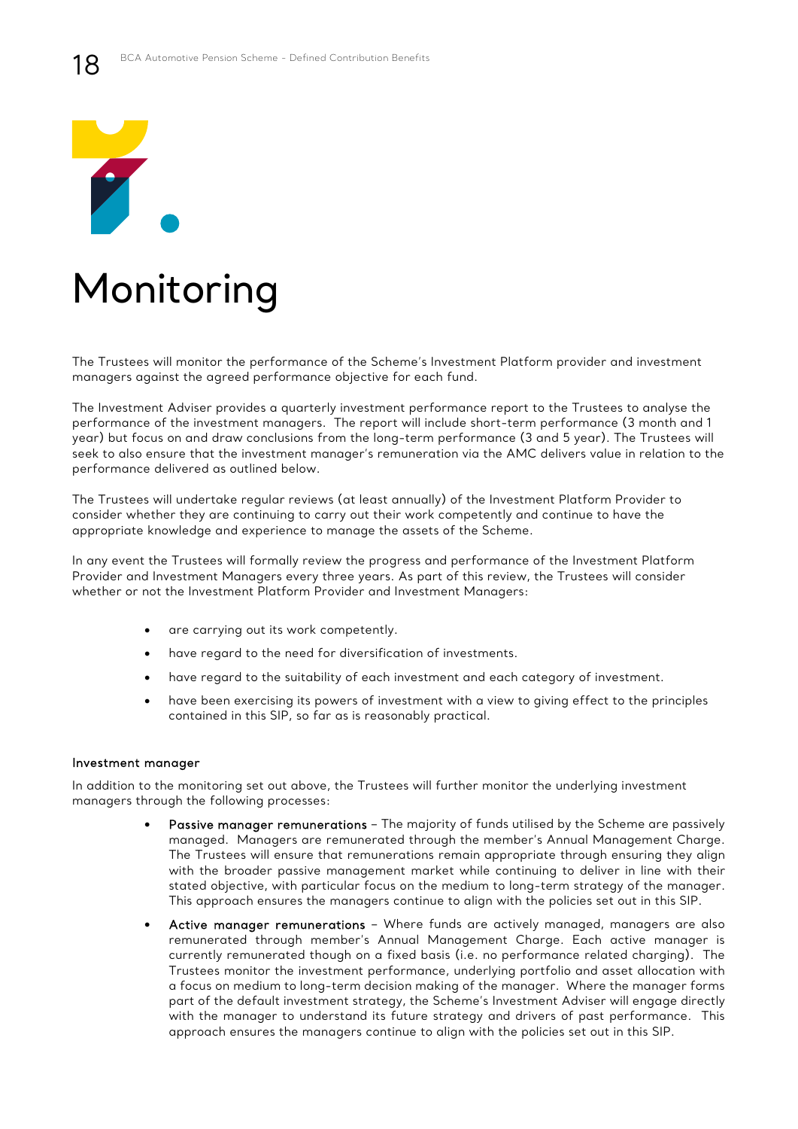

# Monitoring

The Trustees will monitor the performance of the Scheme's Investment Platform provider and investment managers against the agreed performance objective for each fund.

The Investment Adviser provides a quarterly investment performance report to the Trustees to analyse the performance of the investment managers. The report will include short-term performance (3 month and 1 year) but focus on and draw conclusions from the long-term performance (3 and 5 year). The Trustees will seek to also ensure that the investment manager's remuneration via the AMC delivers value in relation to the performance delivered as outlined below.

The Trustees will undertake regular reviews (at least annually) of the Investment Platform Provider to consider whether they are continuing to carry out their work competently and continue to have the appropriate knowledge and experience to manage the assets of the Scheme.

In any event the Trustees will formally review the progress and performance of the Investment Platform Provider and Investment Managers every three years. As part of this review, the Trustees will consider whether or not the Investment Platform Provider and Investment Managers:

- are carrying out its work competently.
- have regard to the need for diversification of investments.
- have regard to the suitability of each investment and each category of investment.
- have been exercising its powers of investment with a view to giving effect to the principles contained in this SIP, so far as is reasonably practical.

#### Investment manager

In addition to the monitoring set out above, the Trustees will further monitor the underlying investment managers through the following processes:

- Passive manager remunerations The majority of funds utilised by the Scheme are passively managed. Managers are remunerated through the member's Annual Management Charge. The Trustees will ensure that remunerations remain appropriate through ensuring they align with the broader passive management market while continuing to deliver in line with their stated objective, with particular focus on the medium to long-term strategy of the manager. This approach ensures the managers continue to align with the policies set out in this SIP.
- Active manager remunerations Where funds are actively managed, managers are also remunerated through member's Annual Management Charge. Each active manager is currently remunerated though on a fixed basis (i.e. no performance related charging). The Trustees monitor the investment performance, underlying portfolio and asset allocation with a focus on medium to long-term decision making of the manager. Where the manager forms part of the default investment strategy, the Scheme's Investment Adviser will engage directly with the manager to understand its future strategy and drivers of past performance. This approach ensures the managers continue to align with the policies set out in this SIP.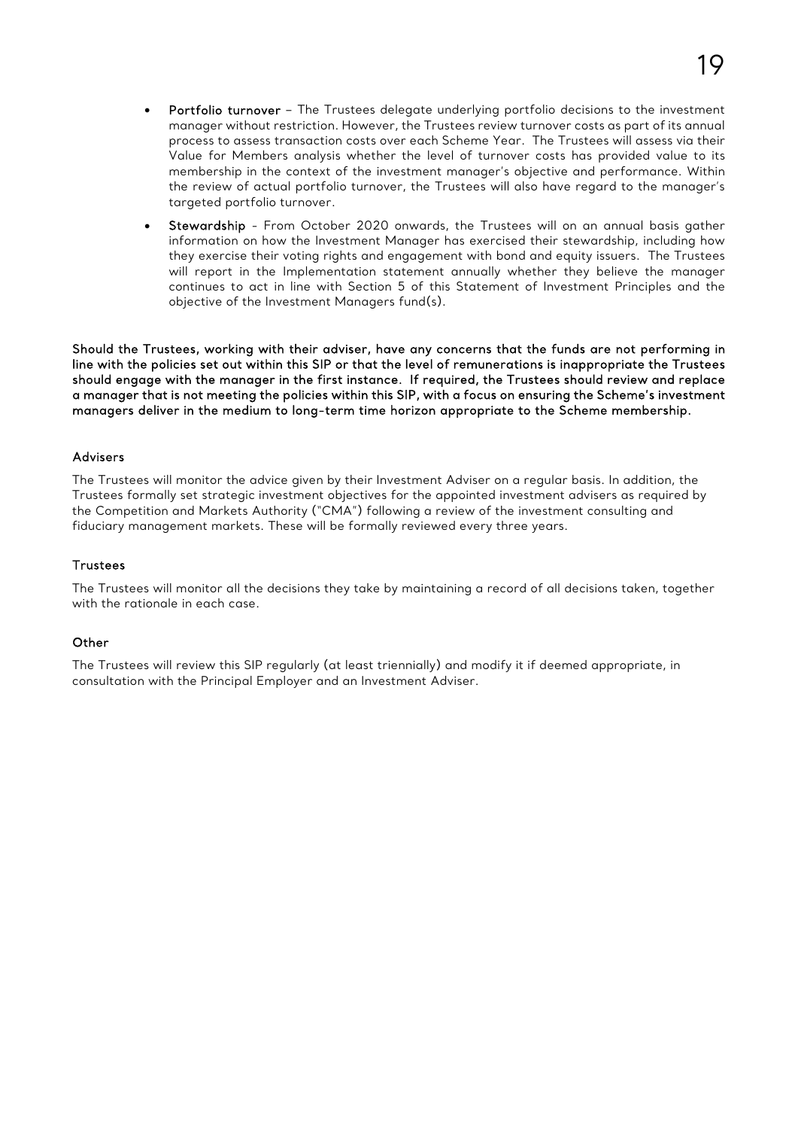- Portfolio turnover The Trustees delegate underlying portfolio decisions to the investment manager without restriction. However, the Trustees review turnover costs as part of its annual process to assess transaction costs over each Scheme Year. The Trustees will assess via their Value for Members analysis whether the level of turnover costs has provided value to its membership in the context of the investment manager's objective and performance. Within the review of actual portfolio turnover, the Trustees will also have regard to the manager's targeted portfolio turnover.
- Stewardship From October 2020 onwards, the Trustees will on an annual basis gather information on how the Investment Manager has exercised their stewardship, including how they exercise their voting rights and engagement with bond and equity issuers. The Trustees will report in the Implementation statement annually whether they believe the manager continues to act in line with Section 5 of this Statement of Investment Principles and the objective of the Investment Managers fund(s).

Should the Trustees, working with their adviser, have any concerns that the funds are not performing in line with the policies set out within this SIP or that the level of remunerations is inappropriate the Trustees should engage with the manager in the first instance. If required, the Trustees should review and replace a manager that is not meeting the policies within this SIP, with a focus on ensuring the Scheme's investment managers deliver in the medium to long-term time horizon appropriate to the Scheme membership.

### Advisers

The Trustees will monitor the advice given by their Investment Adviser on a regular basis. In addition, the Trustees formally set strategic investment objectives for the appointed investment advisers as required by the Competition and Markets Authority ("CMA") following a review of the investment consulting and fiduciary management markets. These will be formally reviewed every three years.

### **Trustees**

The Trustees will monitor all the decisions they take by maintaining a record of all decisions taken, together with the rationale in each case.

### **Other**

The Trustees will review this SIP regularly (at least triennially) and modify it if deemed appropriate, in consultation with the Principal Employer and an Investment Adviser.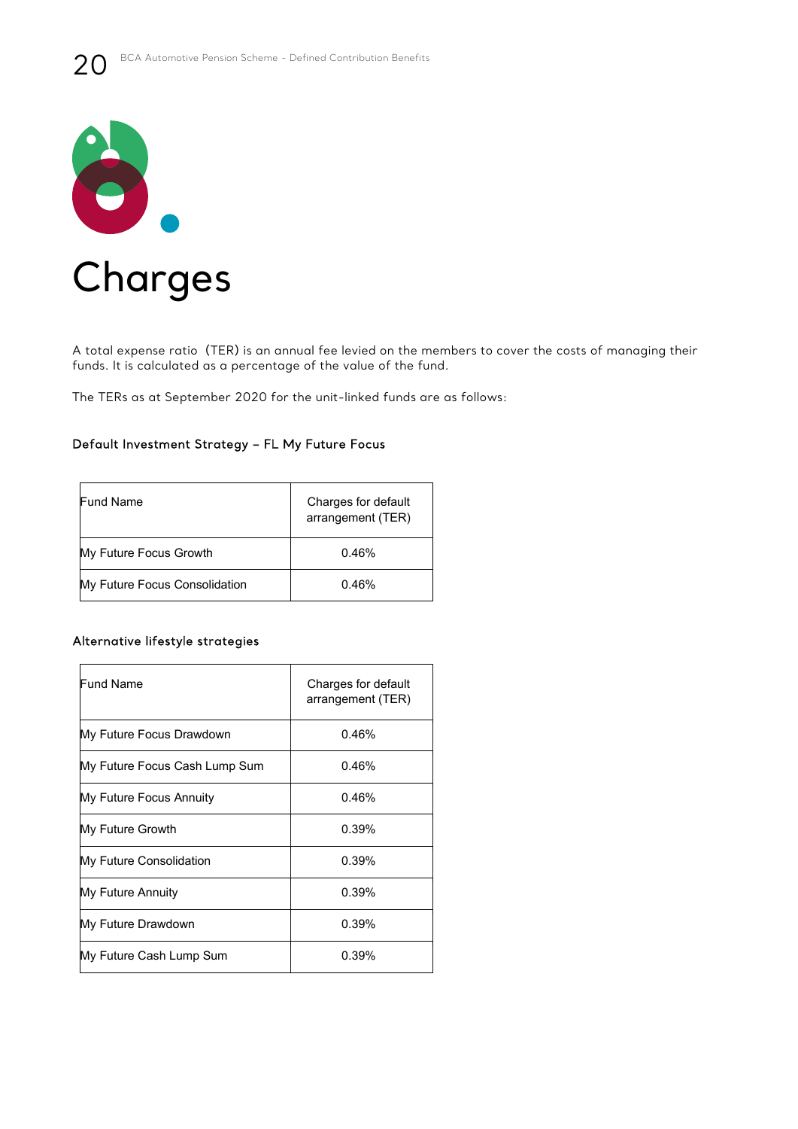

A total expense ratio (TER) is an annual fee levied on the members to cover the costs of managing their funds. It is calculated as a percentage of the value of the fund.

The TERs as at September 2020 for the unit-linked funds are as follows:

### Default Investment Strategy – FL My Future Focus

| <b>Fund Name</b>              | Charges for default<br>arrangement (TER) |
|-------------------------------|------------------------------------------|
| My Future Focus Growth        | 0.46%                                    |
| My Future Focus Consolidation | 0.46%                                    |

### Alternative lifestyle strategies

| Fund Name                     | Charges for default<br>arrangement (TER) |
|-------------------------------|------------------------------------------|
| My Future Focus Drawdown      | 0.46%                                    |
| My Future Focus Cash Lump Sum | 0.46%                                    |
| My Future Focus Annuity       | 0.46%                                    |
| My Future Growth              | 0.39%                                    |
| My Future Consolidation       | 0.39%                                    |
| My Future Annuity             | 0.39%                                    |
| My Future Drawdown            | 0.39%                                    |
| My Future Cash Lump Sum       | 0.39%                                    |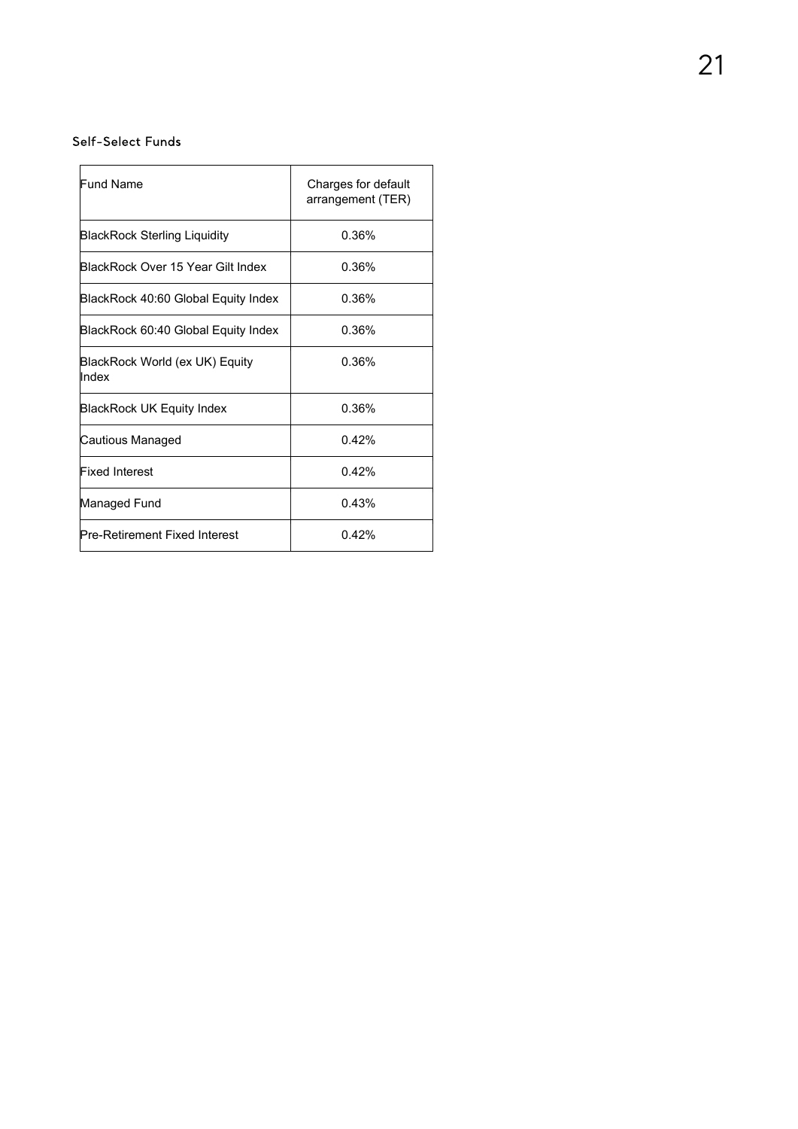### Self-Select Funds

| <b>Fund Name</b>                        | Charges for default<br>arrangement (TER) |
|-----------------------------------------|------------------------------------------|
| <b>BlackRock Sterling Liquidity</b>     | 0.36%                                    |
| BlackRock Over 15 Year Gilt Index.      | 0.36%                                    |
| BlackRock 40:60 Global Equity Index     | 0.36%                                    |
| BlackRock 60:40 Global Equity Index     | 0.36%                                    |
| BlackRock World (ex UK) Equity<br>Index | 0.36%                                    |
| BlackRock UK Equity Index               | 0.36%                                    |
| Cautious Managed                        | 0.42%                                    |
| <b>Fixed Interest</b>                   | 0.42%                                    |
| Managed Fund                            | 0.43%                                    |
| Pre-Retirement Fixed Interest           | 0.42%                                    |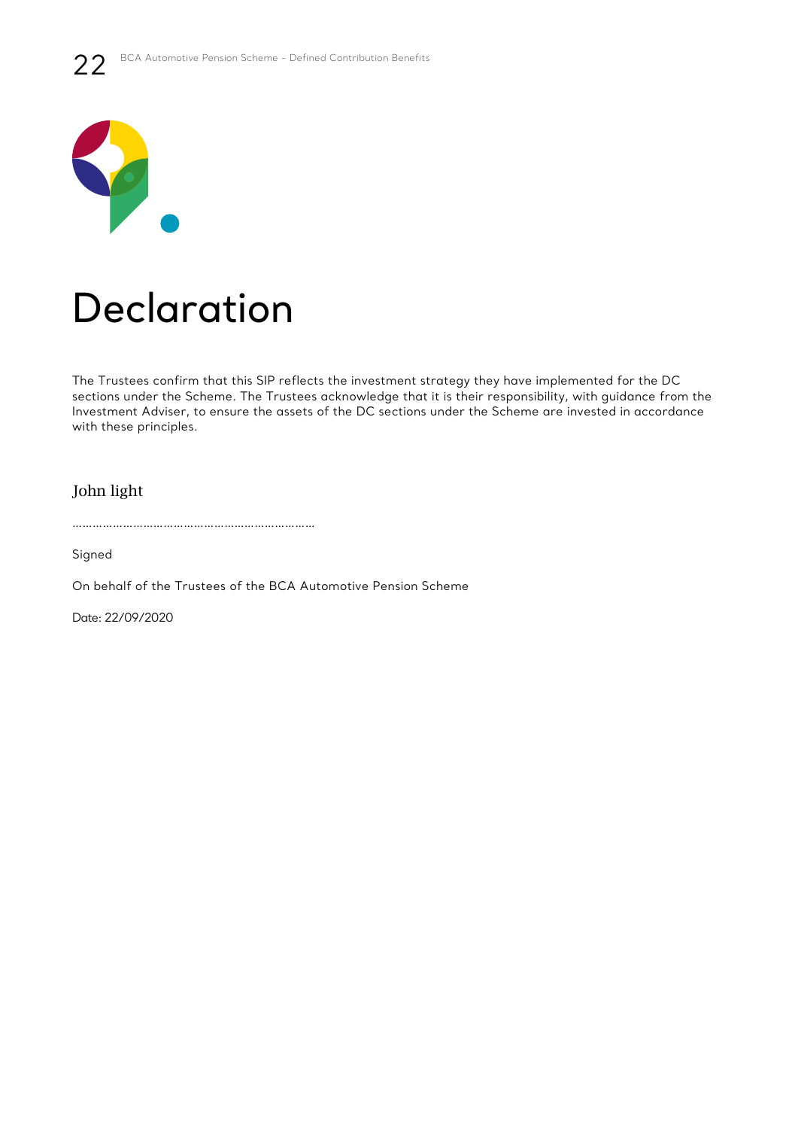

# Declaration

The Trustees confirm that this SIP reflects the investment strategy they have implemented for the DC sections under the Scheme. The Trustees acknowledge that it is their responsibility, with guidance from the Investment Adviser, to ensure the assets of the DC sections under the Scheme are invested in accordance with these principles.

John light

………………………………………………………………

Signed

On behalf of the Trustees of the BCA Automotive Pension Scheme

Date: 22/09/2020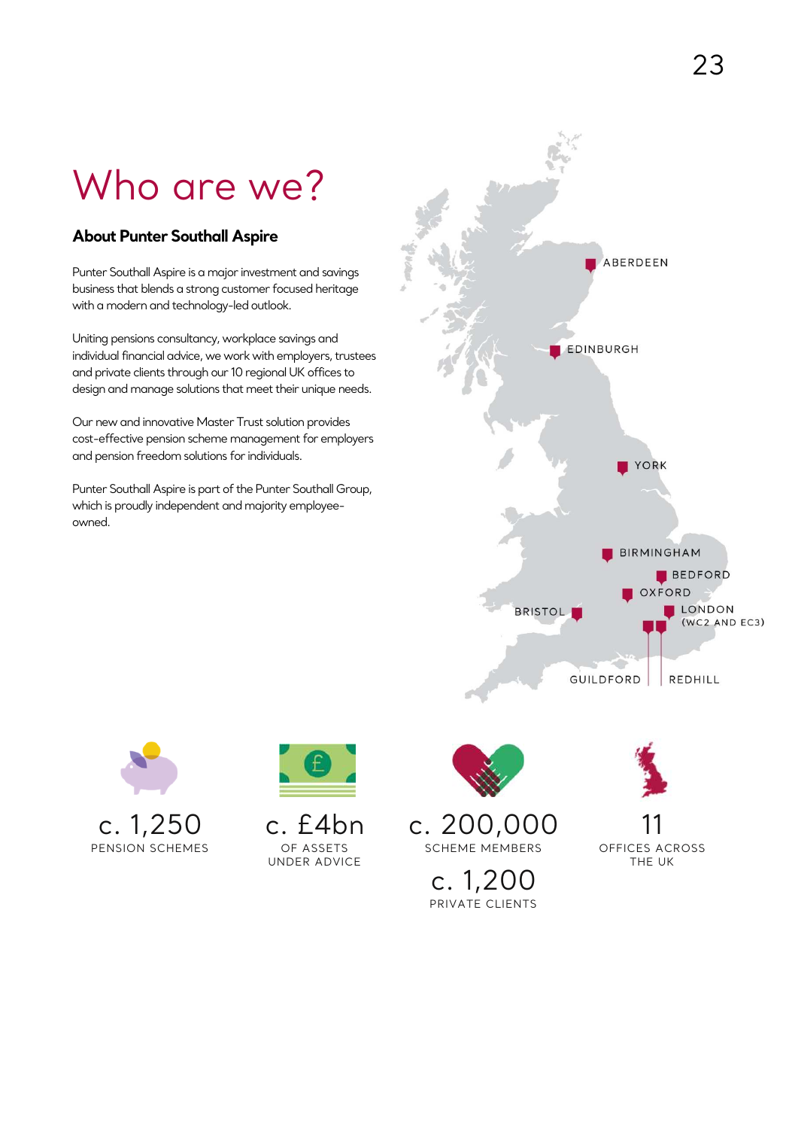# Who are we?

### **About Punter Southall Aspire**

Punter Southall Aspire is a major investment and savings business that blends a strong customer focused heritage with a modern and technology-led outlook.

Uniting pensions consultancy, workplace savings and individual financial advice, we work with employers, trustees and private clients through our 10 regional UK offices to design and manage solutions that meet their unique needs.

Our new and innovative Master Trust solution provides cost-effective pension scheme management for employers and pension freedom solutions for individuals.

Punter Southall Aspire is part of the Punter Southall Group, which is proudly independent and majority employeeowned.







c. £4bn OF ASSETS UNDER ADVICE



SCHEME MEMBERS

c. 1,200 PRIVATE CLIENTS



OFFICES ACROSS THE UK